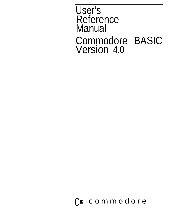### User's Reference Manual Commodore BASIC Version 4.0

### C<sup>x</sup> commodore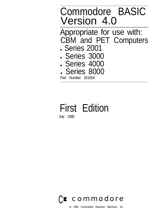### Commodore BASIC Version 4.0 Appropriate for use with: CBM and PET Computers **. Series 2001** . Series 3000 **. Series 4000** . Series 8000 Part Number 321604

## First Edition

July 1980



0 1980 Commodore Business Machines, Inc.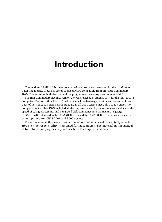### **Introduction**

Commodore BASIC 4.0 is the most sophisticated software developed for the CBM computer line to date. Programs are of course upward compatible from previous Commodore BASIC releases but both the user and the programmer can enjoy new features of 4.0

The first Commodore BASIC, version 2.0, was released in August 1977 for the PET 2001-8 computer. Version 3.0 in July 1978 added a machine language monitor and corrected known bugs of version 2.0. Version 3.0 is standard in all 2001 series since July 1978. Version 4.0, completed in October 1979 included all the improvements of previous releases, enhanced the speed of string processing, and integrated disk commands into the BASIC language.

BASIC 4.0 is standard in the CBM 4000 series and the CBM 8000 series. It is also available as an upgrade for CBM 2001 and 3000 series.

The information in this manual has been reviewed and is believed to be entirely reliable. However, no responsibility is assumed for inaccuracies. The material in this manual is for information purposes only and is subject to change without notice.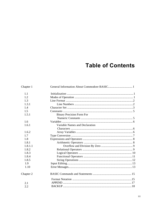### **Table of Contents**

| Chapter 1 |                                  |  |
|-----------|----------------------------------|--|
| 1.1       |                                  |  |
| 1.2       |                                  |  |
| 1.3       |                                  |  |
| 1.3.1     |                                  |  |
| 1.4       |                                  |  |
| 1.5       |                                  |  |
| 1.5.1     | <b>Binary Precision Form For</b> |  |
|           |                                  |  |
| 1.6       |                                  |  |
| 1.6.1     | Variable Names and Declaration   |  |
|           |                                  |  |
| 1.6.2     |                                  |  |
| 1.7       |                                  |  |
| 1.8       |                                  |  |
| 1.8.1     |                                  |  |
| 1.8.1.1   |                                  |  |
| 1.8.2     |                                  |  |
| 1.8.3     |                                  |  |
| 1.8.4     |                                  |  |
| 1.8.5     |                                  |  |
| 1.9       |                                  |  |
| 1.10      |                                  |  |
| Chapter 2 |                                  |  |
|           |                                  |  |
| 2.1       |                                  |  |
| 2.2       |                                  |  |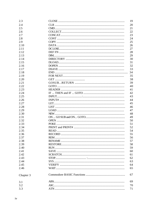| 2.3       | 19 |
|-----------|----|
| 2.4       | 20 |
| 2.5       | 21 |
| 2.6       | 22 |
| 2.7       | 23 |
| 2.8       | 24 |
| 2.9       | 25 |
| 2.10      | 26 |
| 2.11      | 27 |
| 2.12      | 28 |
| 2.13      | 29 |
| 2.14      | 30 |
| 2.15      | 31 |
| 2.16      | 32 |
| 2.17      | 33 |
| 2.18      | 34 |
| 2.19      | 35 |
| 2.20      | 38 |
| 2.21      | 39 |
| 2.22      | 40 |
| 2.23      | 41 |
| 2.24      | 42 |
| 2.25      |    |
|           | 43 |
| 2.26      | 44 |
| 2.27      | 45 |
| 2.28      | 46 |
| 2.29      | 47 |
| 2.30      | 48 |
| 2.31      | 49 |
| 2.32      | 50 |
| 2.33      | 51 |
| 2.34      | 52 |
| 2.35      | 54 |
| 2.36      | 55 |
| 2.37      | 56 |
| 2.38      | 57 |
| 2.39      | 58 |
| 2.40      | 59 |
| 2.41      | 60 |
| 2.42      | 61 |
| 2.43      | 62 |
| 2.44      | 63 |
| 2.45      | 64 |
| 2.46      | 65 |
| Chapter 3 | 67 |
| 3.1       | 69 |
| 3.2       | 70 |
| 3.3       | 71 |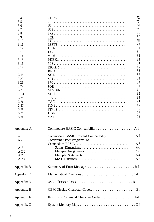| 3.4        |                                       | 72    |
|------------|---------------------------------------|-------|
| 3.5        |                                       | 73    |
| 3.6        |                                       | 74    |
| 3.7        |                                       | 75    |
| 3.8        |                                       | 76    |
| 3.9        |                                       | 77    |
| 3.10       |                                       | 78    |
| 3.11       |                                       | 79    |
| 3.12       |                                       | 80    |
| 3.13       |                                       | 81    |
| 3.14       |                                       | 82    |
| 3.15       |                                       | 83    |
| 3.16       |                                       | 84    |
| 3.17       |                                       | 85    |
| 3.18       |                                       | 86    |
| 3.19       |                                       | 87    |
| 3.20       |                                       | 88    |
| 3.21       |                                       | 89    |
| 3.22       |                                       | 90    |
| 3.23       |                                       | 91    |
| 3.24       |                                       | 92    |
| 3.25       |                                       | 93    |
| 3.26       |                                       | 94    |
| 3.27       |                                       | 95    |
| 3.28       |                                       | 96    |
| 3.29       |                                       | 97    |
| 3.30       |                                       | 98    |
| Appendix A |                                       |       |
| A. 1       | Commodore BASIC Upward Compatibility. | $A-1$ |
| A.2        | Converting Other Programs To          |       |
|            |                                       | $A-3$ |
| A.2.1      | String Dimensions.                    | $A-3$ |
| A.2.2      | Multiple Assignments                  | $A-3$ |
| A.2.3      | Multiple Statements                   | $A-4$ |
| A.2.4      |                                       | $A-4$ |
| Appendix B |                                       |       |
| Appendix C |                                       |       |
| Appendix D |                                       |       |
| Appendix E |                                       |       |
| Appendix F |                                       |       |
|            |                                       |       |
| Appendix G |                                       |       |
|            |                                       |       |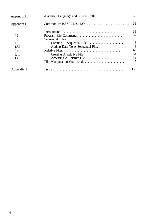| Appendix H |                                   |         |
|------------|-----------------------------------|---------|
| Appendix I |                                   |         |
| I.1        |                                   | $I-1$   |
| I.2        |                                   | $I-2$   |
| I.3        |                                   | $I-3$   |
| 1.3.1      |                                   | $I-3$   |
| 1.3.2      | Adding Data To A Sequential File. | $I-3$   |
| I.4        |                                   | $I-4$   |
| 1.4.1      |                                   | $I-6$   |
| 1.4.2      |                                   | $I-6$   |
| I.5        |                                   | $I-7$   |
| Appendix J |                                   | $J - 1$ |
|            |                                   |         |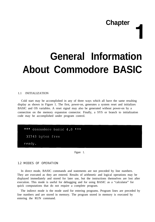# **Chapter I**

## **General Information About Commodore BASIC**

#### 1.1 INITIALIZATION

Cold start may be accomplished in any of three ways which all have the same resulting display as shown in Figure 1. The first, power-on, generates a system reset and initializes BASIC and OS variables. A reset signal may also be generated without power-on by a connection on the memory expansion connector. Finally, a SYS or branch to initialization code may be accomplished under program control.

\*\*\* commodore basic 4.0 \*\*\* 31743 bytes free ready.

Figure 1.

#### 1.2 MODES OF OPERATION

In direct mode, BASIC commands and statements are not preceded by line numbers. They are executed as they are entered. Results of arithmetic and logical operations may be displayed immediately and stored for later use, but the instructions themselves are lost after execution. This mode is useful for debugging and for using BASIC as a "calculator" for quick computations that do not require a complete program.

The indirect mode is the mode used for entering programs. Program lines are preceded by line numbers and are stored in memory. The program stored in memory is executed by entering the RUN command.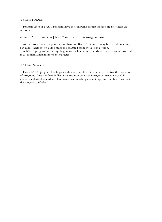#### 1.3 LINE FORMAT

Program lines in BASIC program have the following format (square brackets indicate optional):

#### nnnnn BASIC statement [:BASIC statement] ... <carriage return>

At the programmer's option, more than one BASIC statement may be placed on a line, but each statement on a line must be separated from the last by a colon.

A BASIC program line always begins with a line number, ends with a carriage return, and may contain a maximum of S0 characters.

#### 1.3.1 Line Numbers

Every BASIC program line begins with a line number. Line numbers control the execution of programs. Line numbers indicate the order in which the program lines are stored in memory and are also used as references when branching and editing. Line numbers must be in the range 0 to 63999.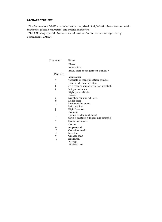#### **1.4 CHARACTER SET**

The Commodore BASIC character set is comprised of alphabetic characters, numeric characters, graphic characters, and special characters.

The following special characters and cursor characters are recognized by Commodore BASIC:

| Character    | Name                               |
|--------------|------------------------------------|
|              | Blank                              |
|              | Semicolon                          |
|              | Equal sign or assignment symbol +  |
| Plus sign    |                                    |
|              | Minus sign                         |
| $\star$      | Asterisk or multiplication symbol  |
|              | Slash or division symbol           |
| f            | Up arrow or exponentiation symbol  |
|              | Left parenthesis                   |
|              | Right parenthesis                  |
|              | Percent                            |
| #            | Number (or pound) sign             |
| \$           | Dollar sign                        |
| ļ            | <b>Exclamation</b> point           |
| I            | Left bracket                       |
| 1            | Right bracket                      |
|              | Comma                              |
|              | Period or decimal point            |
|              | Single quotation mark (apostrophe) |
| $^{\dagger}$ | Quotation mark                     |
|              | Colon                              |
| &            | Ampersand                          |
| 5            | Question mark                      |
| $\,<$        | Less than                          |
| $\, > \,$    | Greater than                       |
| $\setminus$  | Backslash                          |
|              | At-sign                            |
|              | Underscore                         |
|              |                                    |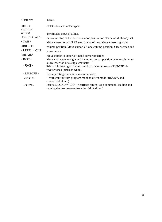| Character                                                                           | Name                                                                                                                                                         |
|-------------------------------------------------------------------------------------|--------------------------------------------------------------------------------------------------------------------------------------------------------------|
| <del><br/><carriage< td=""><td>Deletes last character typed.</td></carriage<></del> | Deletes last character typed.                                                                                                                                |
| return>                                                                             | Terminates input of a line.                                                                                                                                  |
| $\langle$ Shift> $\langle$ TAB>                                                     | Sets a tab stop at the current cursor position or clears tab if already set.                                                                                 |
| $<$ TAB>                                                                            | Move cursor to next TAB stop or end of line. Move cursor right one                                                                                           |
| $<$ RIGHT>                                                                          | column position. Move cursor left one column position. Clear screen and                                                                                      |
| $<$ LEFT> $<$ CLR>                                                                  | home cursor.                                                                                                                                                 |
| <home></home>                                                                       | Move cursor to upper left hand corner of screen.                                                                                                             |
| $<$ INST $>$                                                                        | Move characters to right and including cursor position by one column to                                                                                      |
| <rvs></rvs>                                                                         | allow insertion of a single character.<br>Print all following characters until carriage return or $\langle$ RVSOFF $>$ in<br>reverse video (black on white). |
| $<$ RVSOFF>                                                                         | Cease printing characters in reverse video.                                                                                                                  |
| $<$ STOP $>$                                                                        | Return control from program mode to direct mode (READY, and<br>cursor is blinking.)                                                                          |
| $<$ RUN $>$                                                                         | Inserts DLOAD"*",DO + <carriage return=""> as a command, loading and<br/>running the first program from the disk in drive 0.</carriage>                      |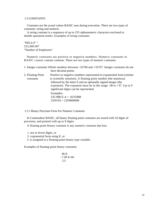#### 1.5 CONSTANTS

Constants are the actual values BASIC uses during execution. There are two types of constants: string and numeric.

A string constant is a sequence of up to 255 alphanumeric characters enclosed in double quotation marks. Examples of string constants:

"HELLO" " 525,000.00" "Number of Employees"

Numeric constants are positive or negative numbers. Numeric constants in BASIC cannot contain commas. There are two types of numeric constants:

|                                | 1. Integer constants Whole numbers between -32768 and +32767. Integer constants do not<br>have decimal points.                                                                                                                                                                                                                                                    |
|--------------------------------|-------------------------------------------------------------------------------------------------------------------------------------------------------------------------------------------------------------------------------------------------------------------------------------------------------------------------------------------------------------------|
| 2. Floating Point<br>constants | Positive or negative numbers represented in exponential form (similar<br>to scientific notation). A floating point number (the mantissa)<br>followed by the letter E and an optionally signed integer (the<br>exponent). The exponent must be in the range -38 to +37. Up to 9<br>significant digits can be represented.<br>Examples:<br>$235.988$ E-4 = .0235988 |

1.5.1 Binary Precision Form For Numeric Constants

In Commodore BASIC, all binary floating point constants are stored with 10 digits of precision, and printed with up to 9 digits.

A floating point binary constant is any numeric constant that has:

2359 E6 = 2359000000

- 1. ten or fewer digits, or
- 2. exponential form using E, or
- 3. is assigned to a floating point binary type variable.

Examples of floating point binary constants:

46.8 - 7.09 E-06 2.5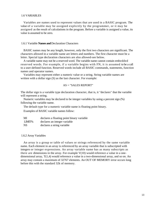#### 1.6 VARIABLES

Variables are names used to represent values that are used in a BASIC program. The value of a variable may be assigned explicitly by the programmer, or it may be assigned as the result of calculations in the program. Before a variable is assigned a value, its value is assumed to be zero.

#### 1.6.1 Variable **Names and** Declaration Characters

BASIC names may be any length, however, only the first two characters are significant. The characters allowed in a variable name are letters and numbers. The first character must be a letter. Special type declaration characters are also allowed-see below.

A variable name may not be a reserved word. The variable name cannot contain embedded reserved words. For example, if a variable begins with FN, it is assumed to be a call to a user-defined function. Reserved words include all BASIC commands, statements, function names and operator names.

Variables may represent either a numeric value or a string. String variable names are written with a dollar sign  $(S)$  as the last character. For example:

#### $AS = "SALKS REPORT"$

The dollar sign is a variable type declaration character, that is, it "declares" that the variable will represent a string.

Numeric variables may be declared to be integer variables by using a percent sign (%) following the variable name.

The default type for a numeric variable name is floating point binary.

Examples of BASIC variable names follow:

| MI        | declares a floating point binary variable |
|-----------|-------------------------------------------|
| LIMIT%    | declares an integer variable              |
| <b>NS</b> | declares a string variable                |

#### 1.6.2 Array Variables

An array is a group or table of values or strings referenced by the same variable name. Each element in an array is referenced by an array variable that is subscripted with integers or integer expressions. An array variable name has as many subscripts as there are dimensions in the array. For example  $V(10)$  would reference a value in a onedimensional array,  $T(1,4)$  would reference a value in a two-dimensional array, and so on. An array may contain a maximum of 32767 elements. An OUT OF MEMORY error occurs long before this with the standard 32k of memory.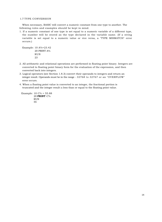#### 1.7 TYPE CONVERSION

When necessary, BASIC will convert a numeric constant from one type to another. The following rules and examples should be kept in mind.

1. If a numeric constant of one type is set equal to a numeric variable of a different type, the number will be stored as the type declared in the variable name. (If a string variable is set equal to a numeric value or vice versa, a "TYPE MISMATCH" error occurs.)

```
Example: 10 A%=23.42
          20 PRINT A%
          RUN
          2<sup>2</sup>
```
- 2. All arithmetic and relational operations are performed in floating point binary. Integers are converted to floating point binary form for the evaluation of the expression, and then converted back into integers.
- 3. Logical operators (see Section 1.8.3) convert their operands to integers and return an integer result. Operands must be in the range - 32768 to 32767 or an "OVERFLOW" error occurs.
- 4. When a floating point value is converted to an integer, the fractional portion is truncated and the integer result is less than or equal to the floating point value.

Example: 10 C% = 55.88 20 **PRINT** C% RUN 55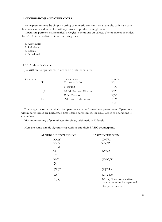#### **1.8 EXPRESSIONS AND OPERATORS**

An expression may be simply a string or numeric constant, or a variable, or it may combine constants and variables with operators to produce a single value.

Operators perform mathematical or logical operations on values. The operators provided by BASIC may be divided into four categories:

I. Arithmetic

- 2. Relational
- 3. Logical
- 4. Functional

#### 1.8.1 Arithmetic Operators

[lie arithmetic operators, in order of preference, are:

| Operator |        | Operation                | Sample       |
|----------|--------|--------------------------|--------------|
|          | $\top$ | Exponentiation           | $\rm X$ $\,$ |
|          |        | Negation                 | $-X$         |
|          | $*,$ ] | Multiplication, Floating | $X^*Y$       |
|          |        | Point Division           | X/Y          |
|          | $+$ .- | Addition. Subtraction    | X+Y          |
|          |        |                          | $X-Y$        |

To change the order in which the operations are performed, use parentheses. Operations within parentheses are performed first. Inside parentheses, the usual order of operations is maintained.

Maximum nesting of parentheses for binary arithmetic is 10 levels.

Here are some sample algebraic expressions and their BASIC counterparts.

| ALGEBRAIC EXPRESSION | <b>BASIC EXPRESSION</b>                                                     |  |
|----------------------|-----------------------------------------------------------------------------|--|
| $X+2Y$               | $X+Y^*2$                                                                    |  |
| $X - Y$              | $X-Y/Z$                                                                     |  |
| Ζ                    |                                                                             |  |
| XY                   | $X^*Y/Z$                                                                    |  |
| Z                    |                                                                             |  |
| $X+Y$                | $(X+Y)/Z$                                                                   |  |
| Z                    |                                                                             |  |
| $(X^2)Y$             | (X 2)TY                                                                     |  |
| $XY^Z$               | XT(YTZ)                                                                     |  |
| $X(-Y)$              | $X^*(-Y)$ Two consecutive<br>operators must be separated<br>by parentheses. |  |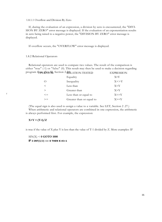#### 1.8.1.1 Overflow and Division By Zero

If, during the evaluation of an expression, a division by zero is encountered, the "DIVI-SION BY ZERO" error message is displayed. If the evaluation of an exponentiation results in zero being raised to a negative power, the "DIVISION BY ZERO" error message is displayed.

If overflow occurs, the "OVERFLOW" error message is displayed.

1.8.2 Relational Operators

Relational operators are used to compare two values. The result of the comparison is either "true" (-1) or "false" (0). This result may then be used to make a decision regarding program flow. (See IF, Section 2.24) DRIGHTION TESTED EXPRESSION

|                  | Equality                 | $X = Y$    |
|------------------|--------------------------|------------|
| $\left( \right)$ | Inequality               | $X \ll Y$  |
| $\,<\,$          | Less than                | X < Y      |
| $\geq$           | Greater than             | X > Y      |
| $\leq$           | Less than or equal to    | $X \leq Y$ |
| $>=$             | Greater than or equal to | $X>=Y$     |

(The equal sign is also used to assign a value to a variable. See LET, Section 2 .27.) When arithmetic and relational operators are combined in one expression, the arithmetic is always performed first. For example, the expression:

#### **X+Y < (T-1)/Z**

f

is true if the value of X plus Y is less than the value of T-1 divided by Z. More examples: IF

SIN(X) < **0 GOTO 1000 IF I-INT(I/J) <> 0 THEN K=K+1**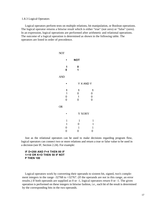#### 1.8.3 Logical Operators

Logical operators perform tests on multiple relations, bit manipulation, or Boolean operations. The logical operator returns a bitwise result which is either "true" (not zero) or "false" (zero). In an expression, logical operations are performed after arithmetic and relational operations. The outcome of a logical operation is determined as shown in the following table. The operators are listed in order of precedence.

| <b>NOT</b>                                      |                               |                  |
|-------------------------------------------------|-------------------------------|------------------|
|                                                 | <b>NOT</b>                    |                  |
| 1<br>0                                          | 0<br>$\mathbf{1}$             |                  |
| <b>AND</b>                                      |                               |                  |
|                                                 | Y X AND Y                     |                  |
| 1<br>$\begin{array}{c} 1 \\ 0 \\ 0 \end{array}$ | 1<br>0<br>$\overline{1}$<br>0 | 1<br>0<br>0<br>0 |
| <b>OR</b>                                       |                               |                  |
|                                                 | <b>Y XORY</b>                 |                  |
| $\mathbf{1}$                                    | $\mathbf{1}$                  | $\mathbf{1}$     |
| $\mathbf{1}$                                    | $\boldsymbol{0}$              | $\mathbf{1}$     |
| $\boldsymbol{0}$                                | $\mathbf{1}$                  | 1                |
| $\boldsymbol{0}$                                | $\boldsymbol{0}$              | $\boldsymbol{0}$ |

Just as the relational operators can be used to make decisions regarding program flow, logical operators can connect two or more relations and return a true or false value to be used in a decision (see IF, Section 2.24). For example:

#### **IF D<200 AND F<4 THEN 80 IF 1>10 OR K<O THEN 50 IF NOT P THEN 100**

Logical operators work by converting their operands to sixteen bit, signed, two's complement integers in the range -32768 to +32767. (If the operands are not in this range, an error results.) If both operands are supplied as 0 or -1, logical operators return 0 or -1. The given operation is performed on these integers in bitwise fashion, i.e., each bit of the result is determined by the corresponding bits in the two operands.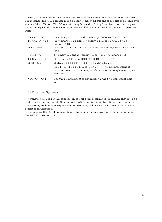Thus, it is possible to use logical operators to test bytes for a particular bit pattern. For instance, the AND operator may be used to "mask" all but one of the bits of a status byte at a machine I/O port. The OR operator may be used to "merge" two bytes to create a particular binary value. The following examples will help demonstrate how the logical operators work.

| 63 AND 16=16             | $63$ = binary 1 1 1 1 1 1 and 16 = binary 10000, so 63 AND 16=16                                                             |
|--------------------------|------------------------------------------------------------------------------------------------------------------------------|
| $15$ AND $14 = 14$       | 15 = binary I 1 1 1 and $14$ = binary 1 110, so 15 AND $14$ = 14 (                                                           |
|                          | binary $1110$                                                                                                                |
| $-1$ AND 8=8             | $-1$ = binary 11111111111111111111 and 8 = binary 1000, so $-1$ AND<br>$8 = 8$                                               |
| $4$ OR $2 = 6$           | $4 = \text{binary } 100 \text{ and } 2 = \text{binary } 10, \text{ so } 4 \text{ or } 2 = 6 \text{ (binary } 1 \text{ } 10)$ |
| $10 \text{ OR } 10 = 10$ | $10 = \text{binary } 1010$ , so $1010 \text{ OR } 1010 = 1010 (10)$                                                          |
| $-1$ OR $-2=$ $-1$       | $-1$ = binary 1 1 1 1 1 1 1 1 1 1 1 1 1 1 1 1 and $-2$ = binary                                                              |
|                          | 111 11 11 11 11 11 110, so -1 or-2 = -1. The bit complement of                                                               |
|                          | sixteen zeros is sixteen ones, which is the two's complement repre-<br>sentation of -1.                                      |
| NOT $X = -(X + 1)$       | The two's complement of any integer is the bit complement plus                                                               |
|                          | one.                                                                                                                         |

#### 1.8.4 Functional Operators

A function is used in an expression to call a predetermined operation that is to be performed on an operand. Commodore BASIC has intrinsic functions that reside in the system, such as SQR (square root) or SIN (sine). All of BASIC's intrinsic functions are described in Chapter 3.

Commodore BASIC allows user defined functions that are written by the programmer. See DEF FN, Section 2.12.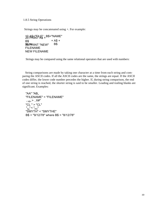#### 1.8.5 String Operations

Strings may be concatenated using +. For example:

```
10 A$ THLE" : B$ = "NAME"
B$
BUN RINT "NEW" B$
               + A$ +FILENAME
NEW FILENAME
```
Strings may be compared using the same relational operators that are used with numbers:

String comparisons are made by taking one character at a time from each string and comparing the ASCII codes. If all the ASCII codes are the same, the strings are equal. If the ASCII codes differ, the lower code number precedes the higher. If, during string comparison, the end of one string is reached, the shorter string is said to be smaller. Leading and trailing blanks are significant. Examples:

"AA" "AB, "FILENAME" = "FILENAME"  $, ._{X$}$   $, . .X#$ " "CL " > "CL" "kg" < "KG" "SMYTH" < "SMYTHE" B\$ < "9/12/78" where B\$ = "8/12/78"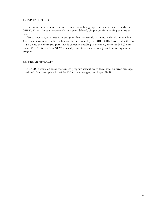#### 1.9 INPUT EDITING

If an incorrect character is entered as a line is being typed, it can be deleted with the DELETE key. Once a character(s) has been deleted, simply continue typing the line as desired.

To correct program lines for a program that is currently in memory, simply list the line. Use the cursor keys to edit the line on the screen and press <RETURN> to reenter the line.

To delete the entire program that is currently residing in memory, enter the NEW command. (See Section 2.30.) NEW is usually used to clear memory prior to entering a new program.

#### 1.10 ERROR MESSAGES

If BASIC detects an error that causes program execution to terminate, an error message is printed. For a complete list of BASIC error messages, see Appendix B.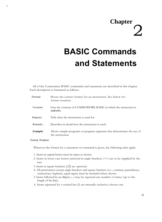## **Chapter** 2

## **BASIC Commands and Statements**

All of the Commodore BASIC commands and statements are described in this chapter. Each description is formatted as follows:

| Format:         | Shows the correct format for an instruction. See below for<br>format notation.            |
|-----------------|-------------------------------------------------------------------------------------------|
| Versions:       | Lists the versions of COMMODORE BASIC in which the instruction is<br>availa hle.          |
| <i>Purpose:</i> | Tells what the instruction is used for.                                                   |
| Remarks:        | Describes in detail how the instruction is used.                                          |
| Example:        | Shows sample programs or program segments that demonstrate the use of<br>the instruction. |

#### *Format :Notation*

r

Wherever the format for a statement or command is given, the following rules apply:

- 1. Items in capital letters must be input as shown.
- 2. Items in lower case letters enclosed in angle brackets  $(\leq)$  are to be supplied by the user.
- 3. Items in square brackets ([ I) are optional.
- 4. All punctuation except angle brackets and square brackets (i.e.., commas, parentheses, semicolons, hyphens, equal signs) must be included where shown.
- 5. Items followed by an ellipsis (...) may be repeated any number of times (up to the length of the line).
- 6. Items separated by a vertical bar (I) are mutually exclusive; choose one.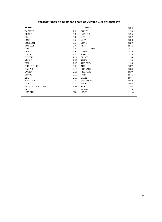| SECTION INDEX TO BUSINESS BASIC COMMANDS AND STATEMENTS |      |                |       |  |
|---------------------------------------------------------|------|----------------|-------|--|
| <b>APPEND</b>                                           | 2.1  | IFTHEN         | 2.24  |  |
| <b>BACKUP</b>                                           | 2.2  | <b>INPUT</b>   | 2.25  |  |
| <b>CLOSE</b>                                            | 2.3  | INPUT #        | 2.26  |  |
| <b>CLR</b>                                              | 2.4  | <b>LET</b>     | 2.27  |  |
| CMD                                                     | 2.5  | <b>LIST</b>    | 2.28  |  |
| <b>COLLECT</b>                                          | 2.6  | LOAD           | 2.29  |  |
| CONCAT                                                  | 2.7  | <b>NEW</b>     | 2.30  |  |
| <b>CONT</b>                                             | 2.8  | ONGOSUB        | 2.31  |  |
| <b>COPY</b>                                             | 2.9  | <b>OPEN</b>    | 2.32  |  |
| <b>DATA</b>                                             | 2.10 | <b>POKE</b>    | 2.33  |  |
| <b>DCLOSE</b>                                           | 2.11 | PRINT          | 2.34  |  |
| DEF FN                                                  | 2.12 | <b>READ</b>    | 2.35  |  |
| <b>DIM</b>                                              | 2.13 | <b>RECORD</b>  | 2.36  |  |
| <b>DIRECTORY</b>                                        | 2.14 | <b>REM</b>     | 2.37  |  |
| <b>DLOAD</b>                                            | 2.15 | <b>RENAME</b>  | 2.38  |  |
| <b>DOPEN</b>                                            | 2.16 | <b>RESTORE</b> | 2.39  |  |
| <b>DSAVE</b>                                            | 2.17 | <b>RUN</b>     | 2.40  |  |
| <b>END</b>                                              | 2.18 | <b>SAVE</b>    | 2.41  |  |
| FOR NEXT                                                | 2.19 | <b>SCRATCH</b> | 2.42  |  |
| <b>GET</b>                                              | 2.20 | <b>STOP</b>    | 2.43  |  |
| GOSUBRETURN                                             | 2.21 | <b>SYS</b>     | 2.44  |  |
| GOTO                                                    |      | <b>VERIFY</b>  | 45    |  |
| <b>HEADER</b>                                           | 2.23 | \WAIT          | $-4h$ |  |
|                                                         |      |                |       |  |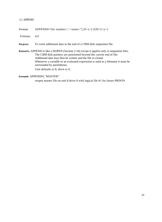#### 2.1 APPEND

*Format:* APPEND#<file number>,"<name>"[,D<x>] [ON U<y>]

*Versions: 4.0*

*Purpose:* To write additional data to the end of a CBM disk sequential file.

*Remarks:* APPEND is like a DOPEN (Section 2.16) except it applies only to sequential files. The CBM disk pointers are positioned beyond the current end of file. Additional data may then be written and the file re-closed. Whenever a variable or an evaluated expression is used as a filename it must be surrounded by parentheses. Unit defaults to 8, drive to 0.

**Example:** APPEND#1,"MASTER"

reopen master file on unit 8 drive 0 with logical file #1 for future PRINT#.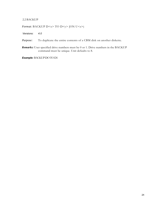#### 2.2 BACKUP

*Format:* BACKUP D<x> TO D<y> [ON U<z>j

*Versions: 4.0*

*Purpose:* To duplicate the entire contents of a CBM disk on another diskette.

*Remarks:* User specified drive numbers must be 0 or 1. Drive numbers in the BACKUP command must be unique. Unit defaults to 8.

*Example:* BACKUP DO TO D1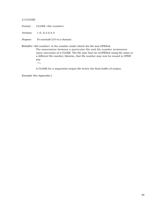#### *2.3 CLOSE*

*Formal:* CLOSE <file number>

*Versions: 1.0,.0,3.0,4.0*

*Purpose: To* conclude I/O to a channel.

*Remarks:* <file number> is the number under which the file was OPENed.

The association between a particular file and file number terminates upon execution of a CLOSE. The file may then be reOPENed using the same or a different file number; likewise, that file number may now be reused to OPEN any

111 c.

A CLOSE for a sequential output file writes the final buffer of output.

*Example:* See Appendix I.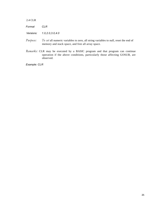2.4 CLR

| Format    | CLR                |
|-----------|--------------------|
| Versions: | 1.0, 2.0, 3.0, 4.0 |

- *Purpose: To set* all numeric variables to zero, all string variables to null, reset the end of memory and stack space, and free all array space.
- *Remarks:* CLR may be executed by a BASIC program and that program can continue operation if the above conditions, particularly those affecting GOSUB, are observed.

*Example: CLR*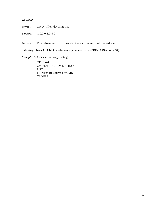#### 2.5 **CMD**

*Format:* CMD <file#>[,<print list>]

*Versions:* 1.0,2.0,3.0,4.0

*Purpose:* To address an IEEE bus device and leave it addressed and

listening. *Remarks:* CMD has the same parameter list as PRINT# (Section 2.34).

*Example: To* Create a Hardcopy Listing

OPEN 4,4 CMD4,"PROGRAM LISTING" LIST PRINT#4 (this turns off CMD) CLOSE 4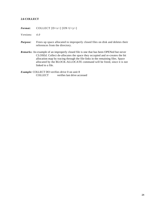#### **2.6 COLLECT**

*Format:* COLLECT [D<x>] [ON U<y>]

*V ersions: 4.0*

- *Purpose:* Frees up space allocated to improperly closed files on disk and deletes their references from the directory.
- *Remarks:* An example of an improperly closed file is one that has been OPENed but never CLOSEd. Collect de-allocates the space they occupied and re-creates the bit allocation map by tracing through the file-links in the remaining files. Space allocated by the BLOCK-ALLOCATE command will be freed, since it is not linked to a file.

*Example:* COLLECT DO verifies drive 0 on unit 8 COLLECT verifies last drive accessed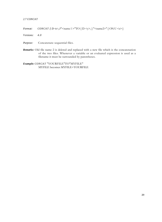#### *2.7 CONCAT*

*Format: CONCAT*  $[D \ll x > J"$  < name l > "TO  $[D \ll y >, ]$  "< name 2>"  $[ONU \ll z >]$ 

*Versions: 4.0*

*Purpose:* Concatenate sequential files.

*Remarks:* Old file name 2 is deleted and replaced with a new file which is the concatenation of the two files. Whenever a variable or an evaluated expression is used as a filename it must be surrounded by parentheses.

*Example: CONCAT* "YOURFILE"TO"MYFILE" MYFILE becomes MYFILE+YOURFILE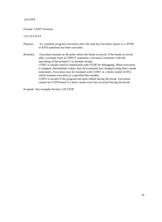#### *2.8 CONT*

#### *Format: CONT Versions:*

*1.0,2.0,3.0,4.0*

- *Purpose.* To continue program execution after the stop key has been typed, or a STOP or END statement has been executed.
- *Remarks:* Execution resumes at the point where the break occurred. If the break occurred after a prompt from an INPUT statement, execution continues with the reprinting of the prompt (? or prompt string). CONT is usually used in conjunction with STOP for debugging. When execution is stopped, intermediate values may be examined and changed using direct mode statements. Execution may be resumed with CONT or a direct mode GOTO, which resumes execution at a specified line number. CONT is invalid if the program has been edited during the break. Execution cannot be CONTinued if a direct mode error has occurred during the break.

*Example:* See example Section *2.43 STOP.*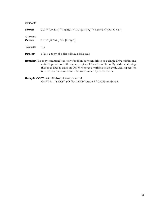#### *2.9 COPY*

| Format.              | COPY $[D \le x >]$ " <name1>"TO <math>[D \le y &gt;]</math> "<name2>"<math>[ON U \le z &gt;]</math></name2></name1>                                                             |
|----------------------|---------------------------------------------------------------------------------------------------------------------------------------------------------------------------------|
| Alternate<br>Format: | COPY $[D \le x >]$ To $[D \le y >]$                                                                                                                                             |
| Versions:            | 4.0                                                                                                                                                                             |
| <b>Purpose:</b>      | Make a copy of a file within a disk unit.                                                                                                                                       |
|                      | <b>Remarks:</b> The copy command can only function between drives or a single drive within one<br>unit. Copy without file names copies all files from Dx to Dy without altering |

files that already exist on Dy. Whenever a variable or an evaluated expression is used as a filename it must be surrounded by parentheses.

*Example: COPY* DO TO D 1 copy all files on DO to D 1 COPY D1,"TEXT" TO "BACKUP" create BACKUP on drive I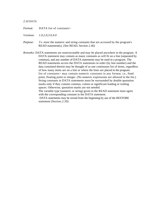#### *2.10 DATA*

| Format: | DATA list of constants> |
|---------|-------------------------|
|         |                         |

- *Versions: 1.0,2.0,3.0,4.0*
- *Purpose:* To store the numeric and string constants that are accessed by the program's READ statement(s). (See READ, Section *2.46)*
- *Remarks:* DATA statements are nonexecutable and may be placed anywhere in the program. A DATA statement may contain as many constants as will fit on a line (separated by commas), and any number of DATA statements may be used in a program. The READ statements access the DATA statements in order (by line number) and the data contained therein may be thought of as one continuous list of items, regardless of how many items are on a line or where the lines are placed in the program. list of constants> may contain numeric constants in any format, i.e., fixed point, floating point or integer. (No numeric expressions are allowed in the list.) String constants in DATA statements must be surrounded by double quotation marks only if they contain commas, colons or significant leading or trailing spaces. Otherwise, quotation marks are not needed.

The variable type (numeric or string) given in the READ statement must agree with the corresponding constant in the DATA statement.

DATA statements may be reread from the beginning by use of the RESTORE statement (Section *2.39).*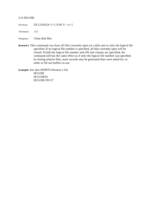#### 2.11 DCLOSE

*Format:* DCLOSE[#<1>] [ON U <x>]

*Versions: 4.0*

*Purpose:* Close disk files

*Remarks:* This command can close all files currently open on a disk unit or only the logical file specified. If no logical file number is specified, all files currently open will be closed. If both the logical file number and ON unit clauses are specified, the command still has the same effect as if only the logical file number was specified. In closing relative files, more records may be generated than were asked for, in order to fill out buffers in use.

*Example:* See also DOPEN (Section 2.16) DCLOSE DCLOSE#5 DCLOSE ON U7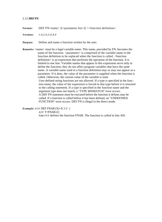#### 2.12 **DEF FN**

- *Format:* DEF FN<name>  $[(\langle$  parameter list> $]$  =  $\langle$  function definition>
- *Versions: 1.0,2.0,3.0,4.0*

*Purpose:* Define and name a function written by the user.

*Remarks:* <name> must be a legal variable name. This name, preceded by FN, becomes the name of the function. <parameter> is comprised of the variable name in the function definition to be replaced when the function is called. <function definition> is an expression that performs the operation of the function. It is limited to one line. Variable names that appear in this expression serve only to define the function; they do not affect program variables that have the same name. A variable name used in a function definition may or may not appear as a parameter. If it does, the value of the parameter is supplied when the function is called. Otherwise, the current value of the variable is used. User-defined string functions are not allowed. If a type is specified in the function name, the value of the expression is forced to that type before it is returned to the calling statement. If a type is specified in the function name and the argument type does not match, a "TYPE MISMATCH" error occurs. A DEF FN statement must be executed before the function it defines may be called. If a function is called before it has been defined, an "UNDEFINED FUNCTION" error occurs. DEF FN is illegal in the direct mode.

*Example: 410* DEF FNAB (X)=X *3/Y 2*

*420* T=FNAB (1)

Line *410* defines the function FNAB. The function is called in line 420.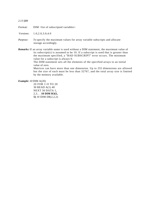#### *2.13 l)IM*

*Format:* DIM <list of subscripted variables>

*Versions:* 1.0,2.0,3.0,4.0

*Purpose: To* specify the maximum values for array variable subscripts and allocate storage accordingly.

*Remarks:* If an array variable name is used without a DIM statement, the maximum value of its subscript(s) is assumed to be 10. If a subscript is used that is greater than the maximum specified, a "BAD SUBSCRIPT" error occurs. The minimum value for a subscript is always 0.

The DIM statement sets all the elements of the specified arrays to an initial value of zero.

Matrices can have more than one dimension. Up to 255 dimensions are allowed but the size of each must be less than 32767, and the total array size is limited by the memory available.

*Example: 10* DIM A(20)

20 FOR 1=0 TO 20 30 READ A(1) 40 NEXT 50 DATA 1, 2,3.. . **10 DIM R3(5, 5)** 10 DIM D\$(2,2,2)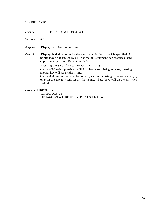#### 2.14 DIRECTORY

*Format:* DIRECTORY [D<x>] [ON U<y>]

*Versions: 4.0*

*Purpose:* Display disk directory to screen.

*Remarks:* Displays both directories for the specified unit if no drive # is specified. A printer may be addressed by CMD so that this command can produce a hardcopy directory listing. Default unit is 8.

Pressing the STOP key terminates the listing.

On the 4000 series, pressing the SPACE bar causes listing to pause, pressing another key will restart the listing.

On the 8000 series, pressing the colon (:) causes the listing to pause, while 3, 6, or 9 on the top row will restart the listing. These keys will also work when shifted.

*Example:* DIRECTORY

DIRECTORY U8 OPEN4,4:CMD4: DIRECTORY: PRINT#4:CLOSE4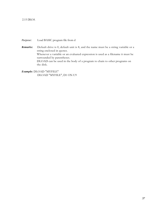# 2.15 DLOA

*Purpose:* Load BASIC program file from d

*Remarks:* Default drive is 0, default unit is 8, and the name must be a string variable or a string enclosed in quotes. Whenever a variable or an evaluated expression is used as a filename it must be surrounded by parentheses. DLOAD can be used in the body of a program to chain to other programs on the disk.

*Example:* DLOAD "MYFILE" DLOAD "MYFILE", D1 ON U9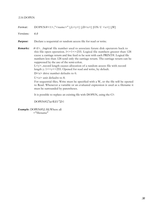# 2.16 DOPEN

| Format:   | DOPEN#<1>," <name>" [,L<y>] [,D<x>] [ON U <z>] [,W]</z></x></y></name>                                                                                                                                                                                                                                                                                                                                                                                                                                                                                                                                                                                                                                                                                                                                                                                                                                                                                                                      |
|-----------|---------------------------------------------------------------------------------------------------------------------------------------------------------------------------------------------------------------------------------------------------------------------------------------------------------------------------------------------------------------------------------------------------------------------------------------------------------------------------------------------------------------------------------------------------------------------------------------------------------------------------------------------------------------------------------------------------------------------------------------------------------------------------------------------------------------------------------------------------------------------------------------------------------------------------------------------------------------------------------------------|
| Versions: | 4.0                                                                                                                                                                                                                                                                                                                                                                                                                                                                                                                                                                                                                                                                                                                                                                                                                                                                                                                                                                                         |
| Purpose:  | Declare a sequential or random access file for read or write.                                                                                                                                                                                                                                                                                                                                                                                                                                                                                                                                                                                                                                                                                                                                                                                                                                                                                                                               |
| Remarks:  | # <i>. <i>logical</i> file number used to associate future disk operators back to<br/>this file open operation. <math>1 &lt; 1 &lt; 255</math>. Logical file numbers greater than 128<br/>cause a carriage return and line feed to be sent with each PRINT#. Logical file<br/>numbers less than 128 send only the carriage return. The carriage return can be<br/>suppressed by the use of the semi-colon.<br/>L<y>record length causes allocation of a random access file with record<br/>length y: 1&lt;=y&lt;=255. Opened for read and write, by default.<br/><math>D \leq x</math> drive number defaults to 0.<br/><math>U \le z</math> unit defaults to 8.<br/>For sequential files, Write must be specified with a W, or the file will be opened<br/>to Read. Whenever a variable or an evaluated expression is used as a filename it<br/>must be surrounded by parentheses.<br/>It is possible to replace an existing file with DOPEN, using the C?:<br/>DOPEN#2,"@FILE1",D1</y></i> |

*Example:* DOPEN#5,I AS) Where a\$ ="filename"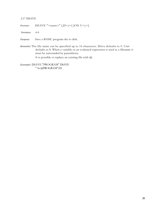# 2.17 DSAVE

*Format:* DSAVE "<name>" [,D<x>] [ON U<y>]

*Versions: 4.0*

*Purpose.* Save a BASIC program the to disk.

*Remarks:* The file name can be specified up to 16 characters. Drive defaults to 0. Unit defaults to 8. When a variable or an evaluated expression is used as a filename it must be surrounded by parentheses.

It is possible to replace an existing file with @.

*Example:* DSAVE "PROGRAM" DSAVE " 6r @PROGRAM".D1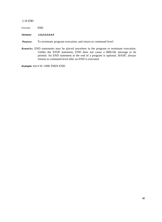## 2.18 END

Format: END

**Versions: 1.0,2.0,3.0,4.0**

- *Purpose:* To terminate program execution, and return to command level.
- *Remarks:* END statements may be placed anywhere in the program to terminate execution. Unlike the STOP statement, END does not cause a BREAK message to be printed. An END statement at the end of a program is optional. BASIC always returns to command level after an END is executed.

**Example:** 520 IF K>1000 THEN END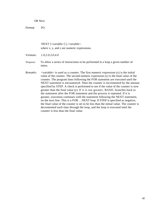OR Next

*Format:* FO

NEXT [<variable>] [,<variable>. where x, y, and z are numeric expressions.

*Versions: 1.0,2.0,3.0,4.0*

*Purpose:* To allow a series of instructions to be performed in a loop a given number of times.

*Remarks:* <variable> is used as a counter. The first numeric expression (x) is the initial value of the counter. The second numeric expression (y) is the final value of the counter. The program lines following the FOR statement are executed until the NEXT statement is encountered. Then the counter is incremented by the amount specified by STEP. A check is performed to see if the value of the counter is now greater than the final value (y). If it is not greater, BASIC branches back to the statement after the FOR statement and the process is repeated. If it is greater, execution continues with the statement following the NEXT statement, on the next line. This is a FOR. . .NEXT loop. If STEP is specified as negative, the final value of the counter is set to be less than the initial value. The counter is decremented each time through the loop, and the loop is executed until the counter is less than the final value.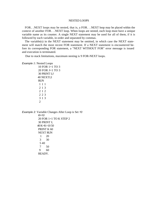## NESTED LOOPS

FOR.. .NEXT loops may be nested, that is, a FOR. . .NEXT loop may be placed within the context of another FOR. . .NEXT loop. When loops are nested, each loop must have a unique variable name as its counter. A single NEXT statement may be used for all of them, if it is followed by each variable, in order and separated by commas.

The variable(s) in the NEXT statement may be omitted, in which case the NEXT statement will match the most recent FOR statement. If a NEXT statement is encountered before its corresponding FOR statement, a "NEXT WITHOUT FOR" error message is issued and execution is terminated.

Due to stack limitations, maximum nesting is 9 FOR-NEXT loops.

#### *Example 1:* Nested Loops

10 FOR 1=1 TO 3 20 FOR J=1 TO 3 30 PRINT I;J 40 NEXTJ,I RUN 111 213 212 223 313 2

*Example 2:* Variable Changes After Loop is Set *10 K=10* 20 FOR 1=1 TO K STEP 2 30 PRINT I; 40 K=K+10 50 PRINT K 60 NEXT RUN 1 20 3 30 5 40 7 50 9 60 READY.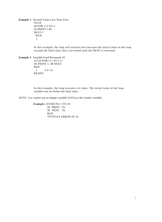*Example 3:* Second Value Less Than First *10 J=0* 20 FOR 1=1 TO *J* 30 PRINT I 40 NEXT I RUN 1

> In this example, the loop will execute once because the initial value of the loop exceeds the final value, but is not tested until the NEXT is executed.

*Example 4:* Variable Used Previously *10 I=5* 20 FOR 1=1 TO 1+5 30 PRINT l; 40 NEXT RUN 1 3 4 5 6 READY.

> In this example, the loop executes six times. The initial value of the loop variable was set before the final value.

*NOTE: Y ou* cannot use an integer variable (1%%) as the counter variable.

*Example: 10* FOR I%=1 TO 10 20 PRINT 1% 30 NEXT 1% RUN ?SYNTAX ERROR IN 10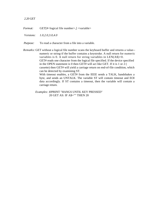# *2.20 GET*

*Format:* GET[#<logical file number>,] <variable>

*Versions: 1.0,2.0,3.0,4.0*

*Purpose:* To read a character from a file into a variable.

*Remarks:* GET without a logical file number scans the keyboard buffer and returns a value- numeric or string-if the buffer contains a keystroke. A null return for numeric variables is 0. A null return for string variables in LEN(A\$)=0. GET# reads one character from the logical file specified. If the device specified in the OPEN statement is 0 then GET# will act like GET. If it is 1 or 2 ( cassette) then GET# will yield a carriage return on end-of-file condition, which can be detected by examining ST. With timeout enables, a GET# from the IEEE sends a TALK, handshakes a byte, and sends an UNTALK. The variable ST will contain timeout and EOI data accordingly. If ST contains a timeout, then the variable will contain a carriage return.

> *Examples: 10*PRINT "HANGS UNTIL KEY PRESSED" 20 GET AS: IF A\$="" THEN 20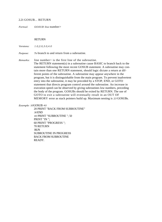## 2.21 GOSUB... RETURN

*Formal: GOSUB line* number>

# RETURN

*Versions: 1.0,2.0,3.0,4.0*

*Purpose: To* branch to and return from a subroutine.

*Remarks:* line number is the first line of the subroutine.

The RETURN statement(s) in a subroutine cause BASIC to branch back to the statement following the most recent GOSUB statement. A subroutine may contain more than one RETURN statement, should logic dictate a return at different points of the subroutine. A subroutine may appear anywhere in the program, but it is distinguishable from the main program. To prevent inadvertent entry into the subroutine, it may be preceded by a STOP, END, or GOTO statement that directs program control around the subroutine. An increase in execution speed can be observed by giving subroutines low numbers, preceding the body of the program. GOSUBs should be exited by RETURN. The use of GOTO to exit a subroutine will eventually result in an OUT OF MEMORY error as stack pointers build up. Maximum nesting is *23* GOSUBs.

*Example: 10*GOSUB *40*

20 PRINT "BACK FROM SUBROUTINE" *30* END *40* PRINT "SUBROUTINE "; 50 PRINT "IN "; 60 PRINT "PROGRESS "; 70 RETURN RUN SUBROUTINE IN PROGRESS BACK FROM SUBROUTINE READY.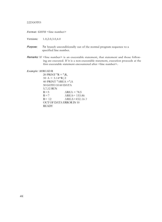# 2.22 GOTO

*Format: GOTO* <line number>

*V ersions:* 1.0,2.0,3.0,4.0

- *Purpose: To* branch unconditionally out of the normal program sequence to a specified line number.
- *Remarks:* If <line number> is an executable statement, that statement and those following are executed. If it is a non-executable statement, execution proceeds at the first executable statement encountered after <line number>.

## *Example: 10* READ R

20 PRINT " $R =$ "; $R$ ,  $30 A = 3.14*R$  | 2 40 PRINT "AREA  $=$ ";A 50 GOTO 10 60 DATA 5,7,12 RUN  $R = 5$  AREA = 78.5  $R = 7$ <br>  $R = 12$ <br>  $R = 452.16$  $AREA = 452.16$  ? OUT OF DATA ERROR IN 10 **READY**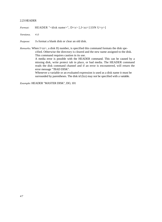## 2.23 HEADER

*Format:* HEADER "<disk name>", D<x> [,I<zz>] [ON U<y>]

*Versions. 4.0*

*Purpose: To* format a blank disk or clear an old disk.

*Remarks.* When I<zz>, a disk II) number, is specified this command formats the disk specified. Otherwise the directory is cleared and the new name assigned to the disk. This command requires caution in its use.

> A media error is possible with the HEADER command. This can be caused by a missing disk, write protect tab in place, or bad media. The HEADER command reads the disk command channel and if an error is encountered, will return the error message "?BAD DISK".

Whenever a variable or an evaluated expression is used as a disk name it must be surrounded by parentheses. The disk id (Izz) may not be specified with a variable.

*Example:* HEADER "MASTER DISK", DO, 101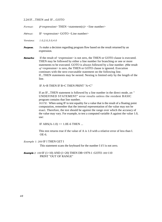## 2.24 IF...THEN and IF...GOTO

|  | Format: | $H$ <expression> THEN <statement(s)> <line number=""></line></statement(s)></expression> |
|--|---------|------------------------------------------------------------------------------------------|
|--|---------|------------------------------------------------------------------------------------------|

*Format:* IF <expression> GOTO <Line number>

*Versions: 1.0,2.0,3.0,4.0*

- *Purpose. To* make a decision regarding program flow based on the result returned by an expression.
- **Remarks:** If the result of  $\leq$ expression $\geq$  is not zero, the THEN or GOTO clause is executed. THEN may be followed by either a line number for branching or one or more statements to be executed. GOTO is always followed by a line number. *If*the result *of* <expression> is zero, the THEN or GOTO clause is ignored. Execution continues with the next executable statement on the following line. If...THEN statements may be nested. Nesting is limited only by the length of the line.

IF A=B THEN IF B=C THEN PRINT "A=C"

If an IF...THEN statement is followed by a line number in the direct mode, an " UNDEFINED STATEMENT" error results unless the resident BASIC program contains that line number.

*NOTE:* When using IF to test equality for a value that is the result of a floating point computation, remember that the internal representation of the value may not be exact. Therefore, the test should be against the range over which the accuracy of the value may vary. For example, to test a computed variable A against the value 1.0, use:

IF ABS(A-1.0)  $\leq$  1.0E-6 THEN ...

This test returns true if the value of A is 1.0 with a relative error of less than I. OE-6.

*Example 1: 200* IF I THEN GET I

This statement scans the keyboard for the number I if I is not zero.

*Example 2: 100* IF (1>10) AND (1<20) THEN DB=1979-1 :GOTO *300* 110 PRINT "OUT OF RANGE"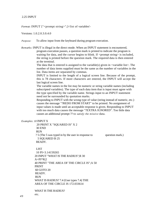# 2.25 INPUT

*Format:* INPUT ["<prompt string>";]<list of variables'-

Versions: 1.0.2.0.3.0.4.0

*Purpose:* To allow input from the keyboard during program execution.

*Remarks:* INPUT is illegal in the direct mode. When an INPUT statement is encountered, program execution pauses, a question mark is printed to indicate the program is waiting for data, and the cursor begins to blink. If  $\langle$  prompt string $\rangle$  is included, the string is printed before the question mark. The required data is then entered at the terminal.

> The data that is entered is assigned to the variable(s) given in  $\langle$  variable list $\rangle$ . The number of data items supplied must be the same as the number of variables in the list. Data items are separated by commas.

> INPUT is limited to the length of a logical screen line. Because of the prompt, this is 78 characters. If more characters are entered, the INPUT will accept the last logical screen line.

The variable names in the list may be numeric or string variable names (including subscripted variables). The type of each data item that is input must agree with the type specified by the variable name. Strings input to an INPUT statement need not be surrounded by quotation marks.

Responding to INPUT with the wrong type of value (string instead of numeric, etc.) causes the message "?REDO FROM START" to be printed. No assignment of input values is made until an acceptable response is given. Responding to INPUT with too much data causes the message "?EXTRA IGNORED". Too little data causes an additional prompt ?? to *satisfy the missive* data.

## *Examples: 10* INPUT X

20 PRINT X "SQUARED IS" X 2 30 END RUN ? 5 (The 5 was typed in by the user in response to question mark.) 5 SQUARED IS 25 READY.

#### **LIST**

10 PI=3.14159265 20 INPUT "WHAT IS THE RADIUS";R 30  $A=PI^*R|2$ 40 PRINT "THE AREA OF THE CIRCLE IS";A 50 PRINT 60 GOTO 20 READY. RUN WHAT IS RADIUS? 7.4 (User types 7.4) THE AREA OF THE CIRCLE IS 172.033614

WHAT IS THE RADIUS? etc.

*49*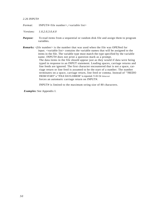## *2.26 INPUT#*

*Format:* INPUT#<file number>,<variable list>

*V ersions: 1.0,2.0,3.0,4.0*

- *Purpose: To* read items from a sequential or random disk file and assign them to program variables.
- *Remarks: <file* number> is the number that was used when the file was OPENed for input. <variable list> contains the variable names that will be assigned to the items in the file. The variable type must match the type specified by the variable name. INPUT# does not print a question mark as a prompt. The data items in the file should appear just as they would if data were being typed in response to an INPUT statement. Leading spaces, carriage returns and line feeds are ignored. The first character encountered that is not a space, carriage return or line feed is assumed to be the start of a number. The number terminates on a space, carriage return, line feed or comma. Instead of "?REDO FROM START" a "?FILE DATA ERROR" is reported. V-01 Or timeout forces an automatic carriage return on INPUT#.

INPUT# is limited to the maximum string size of 80 characters.

*Examples:* See Appendix I.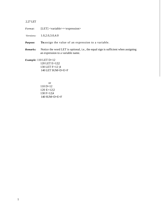# 2.27 LET

*Format:* [LET] <variable>=<expression>

*Versions:* 1.0,2.0,3.0,4.0

*Purpose:* **To** assign the value of an expression to a variable.

*Remarks:* Notice the word LET is optional, i.e., the equal sign is sufficient when assigning an expression to a variable name.

*Example:* 110 LET D=12 120 LET E=12|2 130 LET F=12 |4 140 LET SUM=D+E+F

> or 110 D=12 120 E=12|2 130 F=12|4 140 SUM=D+E+F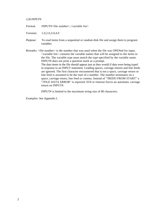## *2.26 INPUT#*

*Format.* INPUT#<file number>,<variable list>

*Versions: 1.0,2.0,3.0,4.0*

*Purpose:* To read items from a sequential or random disk file and assign them to program variables.

*Remarks:* <file number> is the number that was used when the file was OPENed for input. <variable list> contains the variable names that will be assigned to the items in the file. The variable type must match the type specified by the variable name. INPUT# does not print a question mark as a prompt. The data items in the file should appear just as they would if data were being typed in response to an INPUT statement. Leading spaces, carriage returns and line feeds are ignored. The first character encountered that is not a space, carriage return or line feed is assumed to be the start of a number. The number terminates on a space, carriage return, line feed or comma. Instead of "?REDO FROM START" a "?FILE DATA ERROR" is reported. EOI or timeout forces an automatic carriage return on INPUT#.

INPUT# is limited to the maximum string size of 80 characters.

*Examples:* See Appendix I.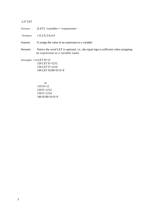# 2.27 LET

*Format:* [LET] <variable>=<expression>

*Versions:* 1.0,2.0,3.0,4.0

Purpose: To assign the value of an expression to a variable.

Remarks: Notice the word LET is optional, i.e., the equal sign is sufficient when assigning an expression to a variable name.

*Example: 110* LET D=12 120 LET E=1212 130 LET F=1214 140 LET SUM=D+E+F

> or 110 D=12 120 E=1212 130 F=1214 140 SUM=D+E+F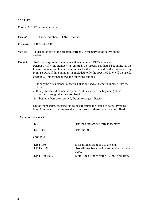# 2.28 LIST

*Format 1:* LIST [<line number>]

## *Format* 2: LIST [<line number>] -[<line number>]

*Versions:* 1.0,2.0,3.0,4.0

*Purpose:* To list all or part of the program currently in memory to the active output device.

*Remarks:* BASIC always returns to command level after a LIST is executed. *Format 1*: If  $\langle$ line number> is omitted, the program is listed beginning at the lowest line number. Listing is terminated either by the end of the program or by typing STOP. If dine number> is included, only the specified line will be listed. *Format 2:* This format allows the following options:

- 1. If only the first number is specified, that line and all higher-numbered lines are listed.
- 2. If only the second number is specified, all lines from the beginning of the program through that line are listed.
- 3. If both numbers are specified, the entire range is listed.

On the 8000 series, pressing the colon ( :) causes the listing to pause. Pressing 3, 6, or 9 on the top row restarts the listing. Any of these keys may be shifted.

# *Examples: Format 1:*

| <b>LIST</b>         | Lists the program currently in memory.                  |
|---------------------|---------------------------------------------------------|
| LIST <sub>500</sub> | Lists line 500.                                         |
| Format 2:           |                                                         |
| LIST 150-           | Lists all lines from 150 to the end.                    |
| LIST -1000          | Lists all lines from the lowest number through<br>1000. |
| LIST 150-1000       | Lists lines 150 through 1000, inclusive.                |
|                     |                                                         |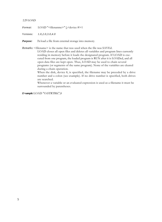#### 2.29 LOAD

*Format:* LOAD "<filenanme>" [,<device #>1

*Versions: 1.0,2.0,3.0,4.0*

*Purpose: To* load a file from external storage into memory.

*Remarks:* <filename> is the name that was used when the file was SAVEd.

LOAD closes all open files and deletes all variables and program lines currently residing in memory before it loads the designated program. If LOAD is executed from one program, the loaded program is RUN after it is LOADed, and all open data files are kept open. Thus, LOAD may be used to chain several programs (or segments of the same program). None of the variables are cleared during a chain operation.

When the disk, device 8, is specified, the filename may be preceded by a drive number and a colon (see example). If no drive number is specified, both drives are searched.

Whenever a variable or an evaluated expression is used as a filename it must be surrounded by parentheses.

*E=xample:*LOAD "O:STRTRK",8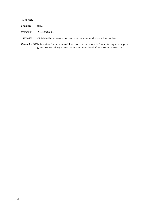### 2.30 **NEW**

*Format:* NEW Versions: 1.0,2.0,3.0,4.0

*Purpose: To* delete the program currently in memory and clear all variables.

*Remarks:* NEW is entered at command level to clear memory before entering a new program. BASIC always returns to command level after a NEW is executed.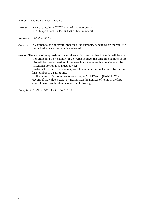2.31ON. . .GOSUB and ON...GOTO

- *Format: ON* <expression> GOTO <list of line numbers> ON <expression> GOSUB <list of line numbers>
- *Versions: 1.0,2.0,3.0,4.0*
- *Purpose: To* branch to one of several specified line numbers, depending on the value returned when an expression is evaluated.
- **Remarks:** The value of <expressions> determines which line number in the list will be used for branching. For example, if the value is three, the third line number in the list will be the destination of the branch. (If the value is a non-integer, the fractional portion is rounded down.)

In the ON. . .GOSUB statement, each line number in the list must be the first line number of a subroutine.

If the value of  $\langle$  expression $\rangle$  is negative, an "ILLEGAL QUANTITY" error occurs. If the value is zero, or greater than the number of items in the list, control passes to the statement or line following.

*Example: 100* ON L-l GOTO *150,300,320,390*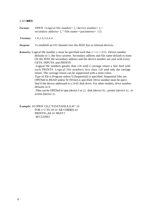## 2.32 **OPEN**

- *Format:* OPEN <Logical file number> [,<device number> [,< secondary address> [,"<file name><parameters> 11]
- *Versions: 1.0,2.0,3.0,4.0*
- *Purpose: To* establish an I/O channel over the IEEE bus or internal devices.

*Remarks:* Logical file number x must be specified such that  $1 \le x \le 255$ . Device number defaults to 1, the first cassette. Secondary address and file name default to none. On the IEEE the secondary address and the device number are sent with every GET#, INPUT#, and PRINT#.

> Logical file numbers greater than *128* send a carriage return a line feed with each PRINT#. Logical file numbers less than *128* send only the carriage return. The carriage return can be suppressed with a semi-colon.

> Type of file is Program unless S (Sequential) is specified. Sequential files are OPENed to READ unless W (Write) is specified. Drive number must be specified if the device addressed is a *2040* disk drive. For other models, drive number defaults to 0.

Files can be OPENed to tape (device I or *2),* disk (device *8),* printer (device *4),* or screen (device *3).*

*Example:* 10 OPEN 2,8,2,"0:DATAFILE,S,W" *20* FOR 1=1 TO 10 *30* A\$=CHR\$(I) *40* PRINT#1,A\$ *50* NEXT I 60 CLOSE2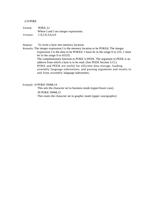# 2.33 POKE

*Format:* POKE, I,J Where I and J are integer expressions. *Versions:* 1.0,2.0,3.0,4.0

*Purpose:* To write a byte into memory location.

*Remarks:* The integer expression I is the memory location to be POKEd. The integer expression J is the data to be POKEd. J must be in the range 0 to 255, 1 must be in the range 0 to 65535. The complementary function to POKE is PEEK. The argument to PEEK is an address from which a byte is to be read. (See PEEK Section 3.15.) POKE and PEEK are useful for efficient data storage, loading assembly language subroutines, and passing arguments and results to and from assembly language subroutines.

# *Example: 10* POKE 59468,14

This sets the character set to business mode (upper/lower case). 20 POKE 59468,12 This resets the character set to graphic mode (upper case/graphic)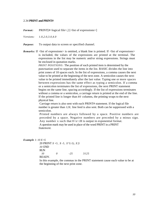### 2.34 **PRINT and PRINT#**

*Format:* PRINT[#<logical file>,] [<list of expressions>]

- *V ersions: 1.0,2.0,3.0,4.0*
- *Purpose:* To output data to screen or specified channel.
- *Remarks:* If  $\langle$ list of expressions $\rangle$  is omitted, a blank line is printed. If  $\langle$ list of expressions $\rangle$ is included, the values of the expressions are printed at the terminal. The expressions in the list may be numeric and/or string expressions. Strings must be enclosed in quotation marks.

*PRINT POSITIONS:* The position of each printed item is determined by the punctuation used to separate the items in the list. BASIC divides the line into print zones of 10 spaces each. In the list of expressions, a comma causes the next value to be printed at the beginning of the next zone. A semicolon causes the next value to be printed immediately after the last value. Typing one or more spaces between expressions has the same effect as typing a semicolon. If a comma or a semicolon terminates the list of expressions, the next PRINT statement begins on the same line, spacing accordingly. If the list of expressions terminates without a comma or a semicolon, a carriage return is printed at the end of the line. If the printed line is longer than *80* columns, the printing wraps to the next physical line.

Carriage return is also sent with each PRINT# statement. If the logical file number is greater than *128,* line feed is also sent. Both can be suppressed with a semicolon.

Printed numbers are always followed by a space. Positive numbers are preceded by a space. Negative numbers are preceded by a minus sign. Any number x such that  $0 < x < 0$  is output in exponential format. A question mark may be used in place of the word PRINT in a PRINT *Statement.*

# *Example 1: 10 X=5* 20 PRINT *X +5, X -5, X\*(-5), X |5 30* END RUN *10 0 -25 3125* READY.

In this example, the commas in the PRINT statement cause each value to be at the beginning of the next print zone.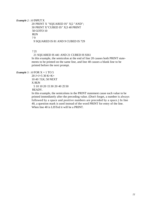*Example 2: 10* INPUT X

20 PRINT X "SQUARED IS" X|2 "AND"; 30 PRINT X"CUBED IS" X|3 40 PRINT 50 GOTO 10 RUN ? 9 9 SQUARED IS 81 AND 9 CUBED IS 729

? 21

21 SQUARED IS 441 AND 21 CUBED IS 9261

In this example, the semicolon at the end of line 20 causes both PRINT statements to be printed on the same line, and line 40 causes a blank line to be printed before the next prompt.

## *Example 3: 10* FOR X = 1 TO 5

20 J=J+5 30 K=K+ 10 40 ?J;K; 50 NEXT X RUN 5 10 10 20 15 30 20 40 25 50 READY.

In this example, the semicolons in the PRINT statement cause each value to be printed immediately after the preceding value. (Don't forget, a number is always followed by a space and positive numbers are preceded by a space.) In line 40, a question mark is used instead of the word PRINT for entry of the line. When line 40 is LISTed it will be a PRINT.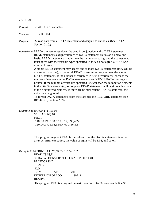#### 2.35 READ

*Format:* READ <list of variables>

*Versions:* 1.0,2.0,3.0,4.0

- *Purpose: To* read data from a DATA statement and assign it to variables. (See DATA, Section 2.10.)
- *Remarks:* A READ statement must always be used in conjunction with a DATA statement. READ statements assign variables to DATA statement values on a oneto-one basis. READ statement variables may be numeric or string, and the values read must agree with the variable types specified. If they do not agree, a "SYNTAX" error will result.

A single READ statement may access one or more DATA statements (they will be accessed in order), or several READ statements may access the same DATA statement. If the number of variables in  $\langle$  list of variables > exceeds the number of elements in the DATA statement(s), an OUT OF DATA message is printed. If the number of variables specified is fewer than the number of elements in the DATA statement(s), subsequent READ statements will begin reading data at the first unread element. If there are no subsequent READ statements, the extra data is ignored.

To reread DATA statements from the start, use the RESTORE statement (see RESTORE, Section 2.39).

*Example 1:* 80 FOR I=1 TO 10

90 READ A(I) 100 **NEXT** 110 DATA 3.08,5.19,3.12,3.98,4.24 120 DATA 5.08,5.55,4.00,3.16,3.37

This program segment READs the values from the DATA statements into the array A. After execution, the value of A(1) will be 3.08, and so on.

*Example 2: 10* PRINT "CITY","STATE","ZIP" 20

READ C\$,S\$,Z 30 DATA "DENVER","COLORADO",80211 40 PRINT C\$,S\$,Z READY. RUN CITY STATE ZIP DENVER COLORADO 80211 READY.

This program READs string and numeric data from DATA statement in line 30.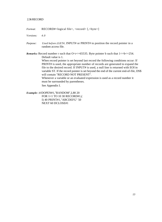## 2.36RECORD

*Format:* RECORD#<logical file>, <record>[,<br/>byte>]

*Versions: 4.0*

*Purpose: Used before (GET#,* INPUT# or PRINT# to position the record pointer in a random access file.

*Remarks:* Record number r such that  $O \lt r \lt 65535$ . Byte pointer b such that  $1 \lt l \lt 254$ . Default value is 1.

> When record pointer is set beyond last record the following conditions occur: If PRINT# is used, the appropriate number of records are generated to expand the file to the desired record. If INPUT# is used, a null line is returned with EOI in variable ST. If the record pointer is set beyond the end of the current end-of-file, DS\$ will contain "RECORD NOT PRESENT".

Whenever a variable or an evaluated expression is used as a record number it must be surrounded by parentheses.

See Appendix I.

*Example: 10*DOPEN#1,"RANDOM",L80 20 FOR 1=1 TO 10 30 RECORD#1,( I) 40 PRINT#1,"ABCDEFG" 50 NEXT 60 DCLOSE#1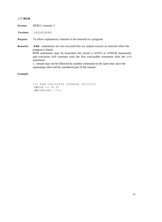# 2.37 **REM**

*Format:* REM [<remark>]

*Versions: 1.0,2.0,3.0,4.0*

*Purpose:* To allow explanatory remarks to be inserted in a program.

*Remarks:* **REM** statements are not executed but are output exactly as entered when the program is listed. REM statements may be branched into (from a GOTO or GOSUB statement), and execution will continue with the first executable statement after the REM statement. A remark may not be followed by another command on the same line, since the

separating colon will be considered part of the remark.

# *Example:*

120 REM CALCULATE AVERAGE VELOCITY *130* FOR 1=1 TO 20 *140* SUM=SUM + V(I)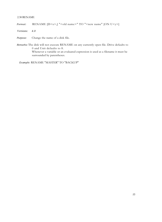## 2.38 RENAME

```
Format: RENAME [D \langle x \rangle] "<old name>" TO "<new name" [ON U \langle y \rangle]
```
*Versions: 4.0*

*Purpose:* Change the name of a disk file.

*Remarks:* The disk will not execute RENAME on any currently open file. Drive defaults to 0 and Unit defaults to 8. Whenever a variable or an evaluated expression is used as a filename it must be surrounded by parentheses.

*Example:* RENAME "MASTER" TO "BACKUP"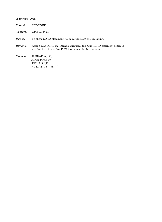# 2.39 RESTORE

| Format:          | <b>RESTORE</b>                                                                                                                        |
|------------------|---------------------------------------------------------------------------------------------------------------------------------------|
| <i>Versions:</i> | 1.0, 2.0, 3.0, 4.0                                                                                                                    |
| Purpose:         | To allow DATA statements to be reread from the beginning.                                                                             |
| Remarks.         | After a RESTORE statement is executed, the next READ statement accesses<br>the first item in the first DATA statement in the program. |
| Example:         | 10 READ A, B, C,<br>20 RESTORE 30<br>READ D,E,F<br>40 DATA 57, 68, 79                                                                 |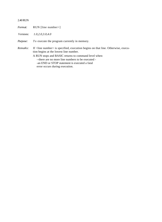## 2.40 RUN

*Format:* RUN [line number>]

*Versions: 1.0,2.0,3.0,4.0*

*Purpose:* To execute the program currently in memory.

*Remarks:* If <line number> is specified, execution begins on that line. Otherwise, execution begins at the lowest line number.

> A RUN stops and BASIC returns to command level when: --there are no more line numbers to be executed - -an END or STOP statement is executed a fatal error occurs during execution.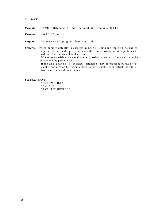# *2.41 SAVE*

Format: SAVE ["<filename>" [,<device number> [,<command>] ] ]

*Versions: 1.0,2.0,3.0,4.0*

*Purpose: To* save a BASIC program file on tape or disk.

*Remarks:* Device number defaults to cassette number 1. Command can be 0-no end of tape written after the program is saved-or non-zero-an end of tape block is written. The file name defaults to null.

Whenever a variable or an evaluated expression is used as a filename it must be surrounded by parentheses.

If the disk (device 8) is specified, <filename> may be preceded by the drive number and a colon (see example). If no drive number is specified, the file is written on the last drive accessed.

*Examples:* SAVE

SAVE "MYFILE" SAVE "",2 SAVE "1:DISKFILE",8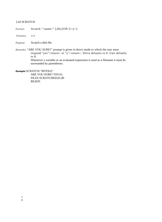# 2.42 SCRATCH

*Format:* Scratch "<name>" [,Dx] [ON U<y>]

*Versions: 4.0*

*Purpose:* Scratch a disk file.

*Remarks:* "ARE YOU SURE?" prompt is given in direct mode to which the user must respond "yes"<return> or "y"<return>. Drive defaults to 0. Unit defaults to 8. Whenever a variable or an evaluated expression is used as a filename it must be

surrounded by parentheses.

*Example:* SCRATCH "MYFILE"

ARE YOU SURE? YES 01, FILES SCRATCHED,01,00 READY.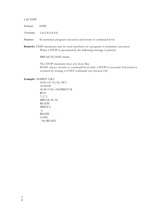## *2.43 STOP*

*Format: STOP*

*V ersions: 1.0,2.0,3.0.4,0*

*Purpose: To* terminate program execution and return to command level.

*Remarks: STOP* statements may be used anywhere in a program to terminate execution. When a STOP is encountered, the following message is printed

BREAK IN LINE nnnnn

The STOP statement does not close files. BASIC always returns to command level after a STOP is executed. Execution is resumed by issuing a CONT command (see Section 2.8).

*Example: 10 INPUT* A,B,C

 $20 K=(A+3)/2:L=B*3$ 30 STOP 40 M=C\*K+100:PRINT M RUN ?  $1,3$ BREAK IN 30 **READY** PRINT L 6 **READY** CONT 106 READY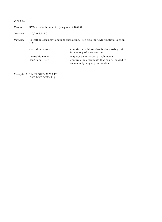| 2.44 SYS         |                                                                                           |                                                                                                                        |  |
|------------------|-------------------------------------------------------------------------------------------|------------------------------------------------------------------------------------------------------------------------|--|
| Format:          | $SYS \langle variable name \rangle$ [ $(\langle argument \; list \rangle)$ ]              |                                                                                                                        |  |
| <i>Versions:</i> | 1.0, 2.0, 3.0, 4.0                                                                        |                                                                                                                        |  |
| <i>Purpose:</i>  | To call an assembly language subroutine. (See also the USR function, Section<br>$3.29$ ). |                                                                                                                        |  |
|                  | $\langle$ variable name $\rangle$                                                         | contains an address that is the starting point<br>in memory of a subroutine.                                           |  |
|                  | $\langle$ variable name $\rangle$<br>$\langle$ argument list $\rangle$                    | may not be an array variable name.<br>contains the arguments that can be passed to<br>an assembly language subroutine. |  |

*Example:* 110 MYROUT=30200 120 SYS MYROUT (A1)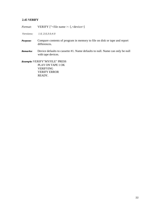# **2.45 VERIFY**

*Format:* VERIFY ["<file name >- [,<device>]

*Versions: 1.0, 2.0,3.0,4.0*

- *Purpose:* Compare contents of program in memory to file on disk or tape and report differences.
- *Remarks:* Device defaults to cassette #1. Name defaults to null. Name can only be null with tape devices.

*Example:* VERIFY"MYFILE" PRESS PLAY ON TAPE 1 OK VERIFYING VERIFY ERROR READY.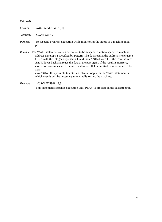#### *2.46 WAIT*

*Format. WAIT* <address>, 1[,J]

*Versions: 1.0,2.0,3.0,4.0*

- *Purpose:* To suspend program execution while monitoring the status of a machine input port.
- *Remarks:* The WAIT statement causes execution to be suspended until a specified machine address develops a specified bit pattern. The data read at the address is exclusive ORed with the integer expression J, and then ANDed with I. If the result is zero, *BASIC loops* back and reads the data at the port again. If the result is nonzero, execution continues with the next statement. If J is omitted, it is assumed to be zero.

*CAUTION:* It is possible to enter an infinite loop with the WAIT statement, in which case it will be necessary to manually restart the machine.

*Example: 100* WAIT 59411,8,8

This statement suspends execution until PLAY is pressed on the cassette unit.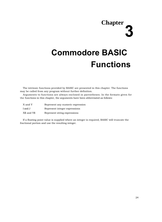# **Chapter 3**

# **Commodore BASIC Functions**

The intrinsic functions provided by BASIC are presented in this chapter. The functions may be called from any program without further definition.

Arguments to functions are always enclosed in parentheses. In the formats given for the functions in this chapter, the arguments have been abbreviated as follows:

| X and Y     | Represent any numeric expression |
|-------------|----------------------------------|
| I and J     | Represent integer expressions    |
| X\$ and Y\$ | Represent string expressions     |

If a floating point value is supplied where an integer is required, BASIC will truncate the fractional portion and use the resulting integer.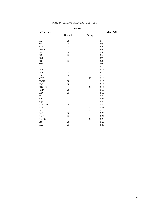| <b>FUNCTION</b>             | <b>RESULT</b> |             | <b>SECTION</b> |
|-----------------------------|---------------|-------------|----------------|
|                             | Numeric       | String      |                |
| <b>ABS</b>                  | $\mathbf X$   |             | 3.1            |
| $\boldsymbol{\mathsf{ASC}}$ | $\mathbf X$   |             | 3.2            |
| $\mathop{\rm ATN}\nolimits$ | $\mathbf X$   |             | 3.3            |
| <b>CHRS</b>                 |               | X           | 3.4            |
| $\cos$                      | X             |             | 3.5            |
| $_{\rm DS}$                 | $\mathbf X$   |             | 3.6            |
| <b>DSS</b>                  |               | X           | 3.7            |
| <b>EXP</b>                  | $\mathbf X$   |             | 3.8            |
| ERE                         | $\mathbf X$   |             | 3.9            |
| $\ensuremath{\text{INT}}$   | $\mathbf X$   |             | 3.10           |
| LEFT\$                      |               | $\mathbf X$ | 3.11           |
| $\tt LEN$                   | X             |             | 3.12           |
| LOG                         | $\mathbf X$   |             | 3.13           |
| <b>MIDS</b>                 |               | X           | 3.14           |
| <b>PEEK</b>                 | $\mathbf X$   |             | 3.15           |
| POS                         | $\mathbf X$   |             | 3.16           |
| <b>RIGHTS</b>               |               | X           | 3.17           |
| RND                         | $\mathbf X$   |             | 3.18           |
| $_{\rm SGN}$                | $\mathbf X$   |             | 3.19           |
| $\rm SIN$                   | $\mathbf X$   |             | 3.20           |
| <b>SPC</b>                  |               | $\mathbf X$ | 3.21           |
| SQR                         | $\mathbf X$   |             | 3.22           |
| <b>STATUS</b>               | $\mathbf X$   |             | 3.23           |
| <b>STRS</b>                 |               | X           | 3.24           |
| TAB                         |               | $\mathbf X$ | 3.25           |
| TAN                         | X             |             | 3.26           |
| <b>TIME</b>                 | $\mathbf X$   |             | 3.27           |
| <b>TIMES</b>                |               | $\mathbf X$ | 3.28           |
| <b>USR</b>                  | $\mathbf X$   |             | 3.29           |
| <b>VAL</b>                  | $\mathbf X$   |             | 3.30           |
|                             |               |             |                |
|                             |               |             |                |

#### *TA BLE OF COMMODORE BA SIC' FUNCTIONS*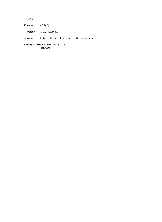*3.1 ABS*

*Format: ABS(X)*

*Versions: 1.0,2.0,3.0,4.0*

*Action:* Returns the absolute value of the expression X.

*Example:* **PRINT ABS(7\*(-5))** *35* READY.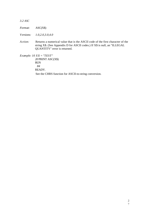*3.2 ASC*

*Format:* ASC(X\$)

*Versions: 1.0,2.0,3.0,4.0*

*Action:* Returns a numerical value that is the ASCII code of the first character of the string X\$. (See Appendix D for ASCII codes.) If X\$ is null, an "ILLEGAL QUANTITY" error is returned.

*Example: 10 X \$ = "TEST" 20* PRINT ASC(X\$) RUN *84* READY. See the CHRS function for ASCII-to-string conversion.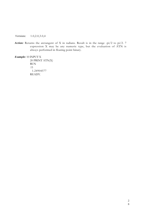*Versions:* 1.0,2.0,3.0,4

*Action:* Returns the arctangent of X in radians. Result is in the range -pi/2 to pi/2. 7 expression X may be any numeric type, but the evaluation of ATN is always performed in floating point binary.

*Example:* 10 INPUT X

20 PRINT ATN(X) RUN ?3 1.24904577 READY.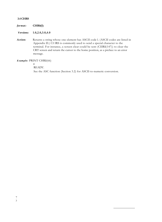#### **3.4 CHRS**

| format: | CHR\$(I)     |  |
|---------|--------------|--|
|         | . <i>. .</i> |  |

*Versions:* **1.0,2.0,3.0,4.0**

*Action:* Returns a string whose one element has ASCII code l. (ASCII codes are listed in Appendix D.) CI IRS is commonly used to send a special character to the terminal. For instance, a screen clear could be sent (CIIR\$(147)) to clear the CRT screen and return the cursor to the home position, as a preface to an error message.

#### *Example:* PRINT CHR\$(66)

*B* READY. See the ASC function (Section 3.2) for ASCII-to-numeric conversion.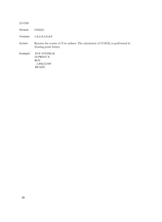*3.5 COS*

*Format: COS(X)*

*Versions: 1.0,2.0,3.0,4.0*

*Action:* Returns the cosine of X in radians. The calculation of COS(X) is performed in floating point binary.

*Example: 10 X =2\*COS(.4)* 20 PRINT X RUN *1.84212199* READY.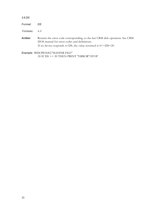| 3.6 DS               |                                                                                                                                                                                                     |
|----------------------|-----------------------------------------------------------------------------------------------------------------------------------------------------------------------------------------------------|
| Format:              | DS.                                                                                                                                                                                                 |
| <i>Versions:</i> 4.0 |                                                                                                                                                                                                     |
| Action:              | Returns the error code corresponding, to the last CBM disk operation. See CBM<br>DOS manual for error codes and definitions.<br>If no device responds to DS, the value returned is $0 < =DS < 20$ . |

*Example: 10*DOPEN#2,"MASTER FILE" 20 IF DS >= 20 THEN PRINT "ERROR":STOP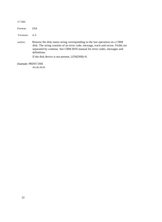|--|--|--|--|

#### *Format: DS\$*

*Versions: 4.0*

*action:* Returns the disk status string corresponding to the last operation on a CBM disk. The string consists of an error code, message, track and sector. Fields are separated by commas. See CBM DOS manual for error codes, messages and definitions.

If the disk device is not present, LEN(DS\$)=0.

#### *Example:* PRINT DS\$

*00,OK,00,00*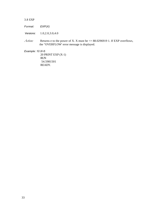#### 3.8 EXP

*Format: EXP(X)*

*Versions:* 1.0,2.0,3.0,4.0

*Action:* Returns e to the power of X. X must be <= 88.0296919 1. If EXP overflows, the "OVERFLOW' error message is displayed.

*Example: 10 X=5*

20 PRINT EXP (X-1) RUN 54.5981501 READY.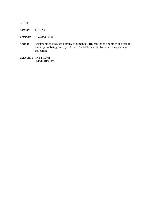#### 3.9 FRE

*Format:* FRE(X)

*Versions: 1.0,2.0,3.0,4.0*

*Action:* Arguments to FRE are dummy arguments. FRE returns the number of bytes in memory not being used by BASIC. The FRE function forces a string garbage collection.

*Example:* PRINT FRE(0) *14542* READY.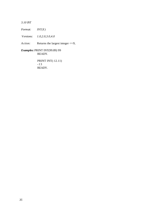*3.10 INT*

*Format: INT(X)*

*Versions: 1.0,2.0,3.0,4.0*

*Action:* Returns the largest integer  $\leq X$ .

*Examples:* PRINT INT(99.89) 99 READY.

> PRINT INT(-12.11) -13 READY.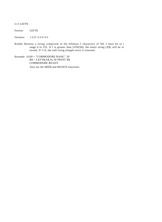#### 3.11 LEFT\$

#### *Format:* LEFT\$

 $Versions:$ *.0.3.0.4.0*

*Action:* Returns a string comprised of the leftmost I characters of X\$. I must be in t range 0 to 255. If I is greater than LEN(X\$), the entire string (X\$) will be re turned. If  $1=0$ , the null string (length zero) is returned.

*Example: 10*A\$ = "COMMODORE BASIC" 20  $B$ \$ = LEFT\$(A\$,9) 30 PRINT B\$ COMMODORE READY.

Also see the MID\$ and RIGHTS functions.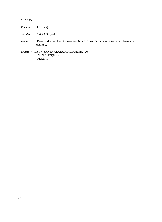#### 3.12 LEN

#### *Format:* LEN(X\$)

*Versions:* 1.0,2.0,3.0,4.0

*Action:* Returns the number of characters in X\$. Non-printing characters and blanks are counted.

*Example: 10 X\$ =* "SANTA CLARA, CALIFORNIA" 20 PRINT LEN(X\$) 23 READY.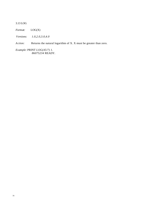#### 3.13 LOG

*Format:* LOG(X)

*Versions: 1.0,2.0,3.0,4.0*

*Action:* Returns the natural logarithm of X. X must be greater than zero.

*Example:* PRINT *LOG(45/7) 1. 86075234* READY.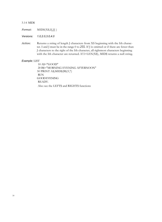#### 3.14 MID\$

*Format:* MID\$(X\$,I[,J] )

*Versions: 1.0,2.0,3.0,4.0*

*Action:* Returns a string of length J characters from XS beginning with the Ith character. I and J must be in the range 0 to *255.* If J is omitted or if there are fewer than J characters to the right of the Ith character, all rightmost characters beginning with the Ith character are returned. If I>LEN(X\$), MID\$ returns a null string.

#### *Example:* LIST

10 A\$="GOOD" 20 B\$="MORNING EVENING AFTERNOON" 30 PRINT A\$;MID\$(B\$,9,7) RUN GOOD EVENING READY. Also see the LEFT\$ and RIGHT\$ functions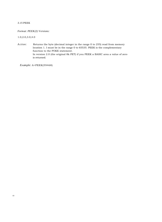#### 3.15 PEEK

#### *Format: PEEK(I) Versions:*

1.0,2.0,3.0,4.0

*Action:* Returns the byte (decimal integer in the range 0 to 255) read from memory location 1. I must be in the range 0 to 65535. PEEK is the complementary function to the POKE statement. In version 2.0 (the original 8k PET) if you PEEK a BASIC area a value of zero is returned.

*Example:* A=PEEK(59468)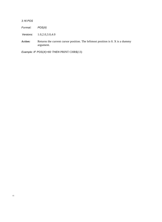*3.16 POS*

*Format: POS(X)*

*Versions:* 1.0,2.0,3.0,4.0

*Action:* Returns the current cursor position. The leftmost position is 0. X is a dummy argument.

*Example: IF POS(X)>60 THEN* PRINT CHR\$(13)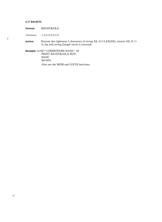#### **3.17 RIGHTS**

I

*Format:* RI(GHT\$(X\$,I)

*Versions: 1.0,2.0,3.0,4.0*

Action: Returns the rightmost I characters of string X\$. If I=LEN(X\$), returns X\$. If 1= 0, the null string (length zero) is returned.

*Example: 10* A\$="COMMODORE BASIC" 20 PRINT RIGHT\$(A\$,5) RUN BASIC READY.

Also see the MID\$ and LEFT\$ functions.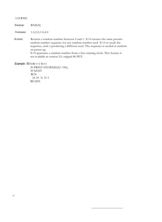#### 3.18 RND

| Format: | RND(X) |
|---------|--------|
|---------|--------|

*Versions:* 1.0,2.0,3.0,4.0

*Action:* Returns a random number between 0 and 1. X>0 returns the same pseudorandom number sequence for any random number seed. X<0 re-seeds the sequence, each x producing a different seed. The sequence is seeded at random on power-up.

X=0 generates a random number from a free running clock. This feature is not available in version 2.0, original 8k PET.

#### *Example: 10*FOR 1=1 TO 5

20 PRINT INT(RND(X)\* 100); 30 NEXT RUN 24 30 31 51 5 READY.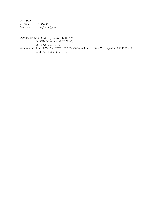3.19 SGN *Format:* SGN(X)<br>*Versions:* 1.0,2.0,3 *Versions:* 1.0,2.0,3.0,4.0

*Action:* IF X>0, SGN(X) returns 1. IF X= O, SGN(X) returns 0. IF X<0, SGN(X) returns -1. *Example:* ON  $SGN(X) + 2$  GOTO 100,200,300 branches to 100 if X is negative, 200 if X is 0 and 300 if X is positive.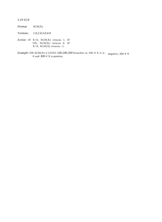*3.19 SGN*

*Format:* SGN(X)

*Versions: 1.0,2.0,3.0,4.0*

*Action:* IF X>0, SGN(X) returns 1. IF OX, SGN(X) returns 0. IF  $X<0$ ,  $SGN(X)$  returns -1.

*Example:* ON SGN(X)+2 GOTO 100,200,300 branches to 100 if X is is negative, 200 if X 0 and *300* if X is positive.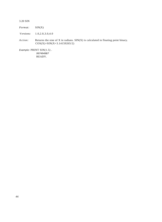3.20 SIN

*Format:* SIN(X)

*V ersions:* 1.0,2.0,3.0,4.0

*Action:* Returns the sine of X in radians. SIN(X) is calculated in floating point binary. COS(X)=SIN(X+3.14159265/2)

*Example:* PRINT SIN(1.5) *. 997494987* READY.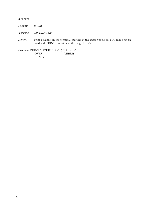#### *3.21 SPC*

*Format: SPC(I)*

*Versions: 1.0,2.0,3.0,4.0*

*Action:* Print I blanks on the terminal, starting at the cursor position. SPC may only be used with PRINT. I must be in the range 0 to 255.

*Example:* PRINT "OVER" SPC(15) "THERE"<br>OVER THERE: THERE: READY.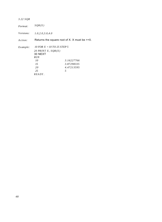| 3.22 SQR         |                                                                                                 |                                                 |
|------------------|-------------------------------------------------------------------------------------------------|-------------------------------------------------|
| Format:          | SQR(X)                                                                                          |                                                 |
| <i>Versions:</i> | 1.0, 2.0, 3.0, 4.0                                                                              |                                                 |
| A ction:         |                                                                                                 | Returns the square root of X. X must be $>=0$ . |
| Example:         | 10 FOR $X = 10$ TO 25 STEP 5<br>20 PRINT X, $SOR(X)$<br>30 NEXT<br><b>RUN</b><br>10<br>15<br>20 | 3.16227766<br>3.87298335<br>4.47213595          |
|                  | 25<br>$READY$ .                                                                                 | .5                                              |

*48*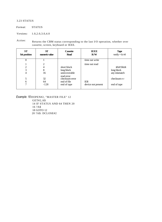#### 3.23 STATUS

*Format:* STATUS

*Versions:* 1.0,2.0,3.0,4.0

*Action:* Returns the CBM status corresponding to the last I/O operation, whether over cassette, screen, keyboard or IEEE.

| <b>ST</b><br>bit position | ST <sup>.</sup><br>numeric value | <b>Cassette</b><br><b>Read</b>                           | <b>TEEE</b><br>R/W               | <b>Tape</b><br>verify $+$ lo ml           |
|---------------------------|----------------------------------|----------------------------------------------------------|----------------------------------|-------------------------------------------|
| $\theta$                  |                                  |                                                          | time out write                   |                                           |
| $\overline{2}$<br>3<br>4  | 2<br>4<br>8<br>16                | short block<br>long block<br>unrecoverable<br>read error | time out read                    | short block<br>long block<br>any mismatch |
| 5<br>6<br>7               | 32<br>64<br>$-128$               | checksum error<br>end of file<br>end of tape             | <b>EOI</b><br>device not present | checksum e r<br>end of tape               |

*Example: 10* DOPEN#2, "MASTER FILE" 12

GET#2,A\$ 14 IF STATUS AND 64 THEN 20 16 ?A\$ 18 GOTO 12 20 ?A\$: DCLOSE#2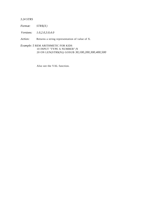#### *3.24 STRS*

*Format: STR\$(X)*

*Versions: 1.0,2.0,3.0,4.0*

*Action:* Returns a string representation of value of X.

*Example: 5* REM ARITHMETIC FOR KIDS 10 INPUT "TYPE A NUMBER";N 20 ON LEN(STR\$(N)) GOSUB *30,100,200,300,400,500*

Also see the VAL function.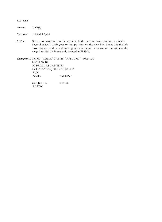#### *3.25 TAB*

| <i>Format:</i> | TAB(I) |
|----------------|--------|
|----------------|--------|

*Versions: 1.0,2.0,3.0,4.0*

*Action:* Spaces to position I on the terminal. If the current print position is already beyond space I, TAB goes to that position on the next line. Space 0 is the left most position, and the rightmost position is the width minus one. I must be in the range 0 to 255. TAB may only be used in PRINT.

*Example: 10* PRINT "NAME" TAB(25) "AMOUNT" : PRINT*20* READ AS, B\$ 30 PRINT A\$ TAB(25)B\$ *40* DATA"G.T. JONES","\$25.00" RUN NAME AMOUNT G.T. JONES \$25.00 **READY**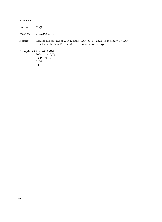*3.26 TAN*

| <i>Format:</i> | TAN(X) |
|----------------|--------|
|----------------|--------|

*V ersions: 1.0,2.0,3.0,4.0*

*Action:* Returns the tangent of X in radians. TAN(X) is calculated in binary. If TAN overflows, the "OVERFLOW" error message is displayed.

*Example: 10 X = .785398163*  $20 Y = TAN(X)$ *30* PRINT Y RUN 1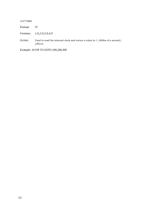#### 3.27 TIME

*Format: TI*

*Versions: 1.0,2.0,3.0,4.0*

*Action:* Used to read the internal clock and return a value in 1 /60ths of a second ( jiffies).

*Example: 10 ON TI GOTO 100,200,300*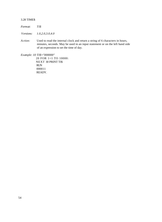#### 3.28 TIME\$

*Format: TI\$*

*Versions: 1.0,2.0,3.0,4.0*

*Action:* Used to read the internal clock and return a string of 6 characters in hours, minutes, seconds. May be used in an input statement or on the left hand side of an expression to set the time of day.

*Example: 10 TI\$="000000"*

20 FOR 1=1 TO 10000: NEXT 30 PRINT TI\$ RUN 000011 READY.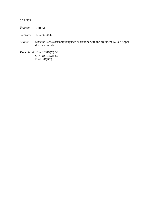#### 3.29 USR

| Format: | USR(X) |
|---------|--------|
|---------|--------|

*Versions:* 1.0,2.0,3.0,4.0

*Action: Calls* the user's assembly language subroutine with the argument X. See Appendix for example.

*Example:* 40 B =  $T*SIN(Y)$  50  $C = \text{USR}(B/2)$  60  $D = \text{USR}(B/3)$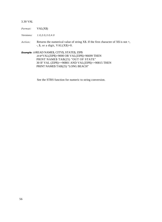#### 3.30 VAL

#### *Format:* VAL(X\$)

*Versions: 1.0,2.0,3.0,4.0*

*Action:* Returns the numerical value of string X\$. If the first character of X\$ is not +,  $-$ , \$, or a digit, VAL $(X\$ =0.

#### *Example: 10*READ NAME\$, CITY\$, STATE\$, ZIP\$ *20 IF* VAL(ZIP\$)<9000 OR VAL(ZIP\$)>96699 THEN PRINT NAME\$ TAB(25) "OUT OF STATE" 30 IF VAL (ZIP\$)>=90801 AND VAL(ZIP\$)<=90815 THEN PRINT NAME\$ TAB(25) "LONG BEACH"

See the STRS function for numeric to string conversion.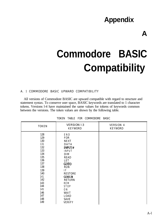### **Appendix**

# **Commodore BASIC Compatibility**

#### A. 1 COMMODORE BASIC UPWARD COMPATIBILITY

All versions of Commodore BASIC are upward compatible with regard to structure and statement syntax. To conserve user space, BASIC keywords are translated to 1 character tokens. Versions l-4 have maintained the same values for tokens of keywords common between the versions. The token values are shown by the following table.

| <b>TOKEN</b> | <b>VERSION 1-3</b><br><b>KEYWORD</b> | VERSION 4<br>KEYWORD |
|--------------|--------------------------------------|----------------------|
| 128          | END                                  |                      |
| 129          | <b>FOR</b>                           |                      |
| 130          | <b>NEXT</b>                          |                      |
| 131          | DATA                                 |                      |
| 132          | INPUT#                               |                      |
| 133          | INPUT                                |                      |
| 134          | DIM                                  |                      |
| 135          | <b>READ</b>                          |                      |
| 136          | LET                                  |                      |
| 137          | <b>GOTO</b>                          |                      |
| 138          | <b>RUN</b>                           |                      |
| 139          | IF                                   |                      |
| 140          | <b>RESTORE</b>                       |                      |
| 141          | <b>GOSUB</b>                         |                      |
| 142          | <b>RETURN</b>                        |                      |
| 143          | REM                                  |                      |
| 144          | STOP                                 |                      |
| 145          | 0 <sub>N</sub>                       |                      |
| 146          | WAIT                                 |                      |
| 147          | LOAD                                 |                      |
| 148          | <b>SAVE</b>                          |                      |
| 149          | <b>VERIFY</b>                        |                      |

TOKEN TABLE FOR COMMODORE BASIC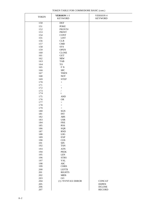TOKEN TABLE FOR COMMODORE BASIC (cont.)

| <b>TOKEN</b> | <b>VERSION 1-3</b><br><b>KEYWORD</b>   | <b>VERSION 4</b><br><b>KEYWORD</b> |
|--------------|----------------------------------------|------------------------------------|
| 150          | <b>DEF</b>                             |                                    |
| 151          | <b>POKE</b>                            |                                    |
| 152          | PRINT#                                 |                                    |
| 153          | <b>PRINT</b>                           |                                    |
| 154          | <b>CONT</b>                            |                                    |
| 155          | <b>LIST</b>                            |                                    |
| 156          | CLR                                    |                                    |
| 157          | $\mathop{\mathrm{CMD}}$                |                                    |
| 158          | SYS                                    |                                    |
| 159          | <b>OPEN</b>                            |                                    |
| 160          | <b>CLOSE</b>                           |                                    |
| 161          | <b>GET</b>                             |                                    |
| 162          | ${\sf NEW}$                            |                                    |
| 163          | <b>TAB</b>                             |                                    |
| 164          | TO                                     |                                    |
| 165          | $\rm F$ N                              |                                    |
| 166          | ${\rm SPC}$                            |                                    |
| 167          | <b>THEN</b>                            |                                    |
| 168          | $\operatorname{NOT}$                   |                                    |
| 169          | <b>STEP</b>                            |                                    |
| 170          |                                        |                                    |
| 171          | $\frac{1}{2}$                          |                                    |
| 172          | $^+$                                   |                                    |
| 173          | $\sqrt{2}$                             |                                    |
| 174          | $\mathbf t$                            |                                    |
| 175          | $\operatorname{AND}$                   |                                    |
| 176          | <b>OR</b>                              |                                    |
| 177          | $\,>$                                  |                                    |
| 178          | $\equiv$                               |                                    |
| 179          | $\,<$                                  |                                    |
| 180<br>181   | $\rm SGN$<br>$\ensuremath{\text{INT}}$ |                                    |
| 182          | $\mathbf{ABS}$                         |                                    |
| 183          | <b>USR</b>                             |                                    |
| 184          | ${\rm FRE}$                            |                                    |
| 185          | POS                                    |                                    |
| 186          | SQR                                    |                                    |
| 187          | RND                                    |                                    |
| 188          | LOG                                    |                                    |
| 189          | <b>EXP</b>                             |                                    |
| 190          | COS                                    |                                    |
| 191          | $\rm SIN$                              |                                    |
| 192          | <b>TAN</b>                             |                                    |
| 193          | $\operatorname{ATN}$                   |                                    |
| 194          | <b>PEEK</b>                            |                                    |
| 195          | <b>LEN</b>                             |                                    |
| 196          | <b>STRS</b>                            |                                    |
| 197          | <b>VAL</b>                             |                                    |
| 198          | $\operatorname{ASC}$                   |                                    |
| 199          | <b>CHRS</b>                            |                                    |
| 200          | LEFT\$                                 |                                    |
| 201          | <b>RIGHTS</b>                          |                                    |
| 202          | $MIDS$                                 |                                    |
| 203          | $\rm GO$                               |                                    |
| 204          | (1) ?SYNTAX ERROR                      | <b>CONCAT</b>                      |
| 205          |                                        | <b>DOPEN</b>                       |
| 206          |                                        | <b>DCLOSE</b>                      |
| 207          |                                        | <b>RECORD</b>                      |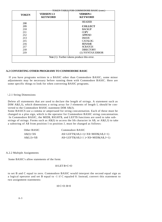| TOKEN TABLE FOR COMMODORE BASIC (cont.) |                    |                                                 |  |  |
|-----------------------------------------|--------------------|-------------------------------------------------|--|--|
| <b>TOKEN</b>                            | <b>VERSION 1-3</b> | <b>VERSION4</b>                                 |  |  |
|                                         | <b>KEYWORD</b>     | <b>KEYWORD</b>                                  |  |  |
| 208                                     |                    | <b>HEADER</b>                                   |  |  |
| 209                                     |                    | <b>COLLECT</b>                                  |  |  |
| 210                                     |                    | <b>BACKUP</b>                                   |  |  |
| 211                                     |                    | <b>COPY</b>                                     |  |  |
| 212                                     |                    | <b>APPEND</b>                                   |  |  |
| 213                                     |                    | <b>DSAVE</b>                                    |  |  |
| 215                                     |                    | <b>CATALOG</b>                                  |  |  |
| 216                                     |                    | <b>RENAME</b>                                   |  |  |
| 217                                     |                    | <b>SCRATCH</b>                                  |  |  |
| 218                                     |                    | <b>DIRECTORY</b>                                |  |  |
| 219                                     |                    | (1) ?SYNTAX ERROR                               |  |  |
|                                         |                    | Note $(1)$ : Further tokens produce this error. |  |  |

### **A.2 CONVERTING OTHER PROGRAMS TO COMMODORE BASIC**

If you have programs written in a BASIC other than Commodore BASIC, some minor adjustments may be necessary before running them with Commodore BASIC. Here are some specific things to look for when converting BASIC programs.

### \.2.1 String Dimensions

Delete all statements that are used to declare the length of strings. A statement such as DIM A\$(I,J), which dimensions a string array for J elements of length I, should be converted to the Commodore BASIC statement DIM A\$(J).

Some BASICS use a comma or ampersand for string concatenation. Each of these must be changed to a plus sign, which is the operator for Commodore BASIC string concatenation. In Commodore BASIC, the MID\$, RIGHT\$, and LEFT\$ functions are used to take substrings of strings. Forms such as  $A\$(I)$  to access the Ith character in  $A\$(I, J)$  to take a substring of A\$ from position I to position J, must be changed as follows:

| Other BASIC    | Commodore BASIC                        |
|----------------|----------------------------------------|
| $A\$(I)=X\$$   | $A$=LEFT$(A$,I-1)+X$+MID$(A$,I+1)$     |
| $A\$(I,J)=X\$$ | $A$=LEFT$(A$, I-1) + X$+MID$(A$, J+1)$ |

A.2.2 Multiple Assignments

Some BASIC's allow statements of the form:

### 10 LET B=C=O

to set B and C equal to zero. Commodore BASIC would interpret the second equal sign as a logical operator and set B equal to -1 if C equaled 0. Instead, convert this statement to two assignment statements:

10 C=O: B=0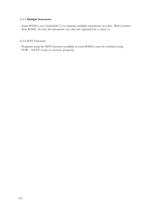### A.2.3 **Multiple Statements**

Some BASICs use a backslash (\) to separate multiple statements on a line. With Commodore BASIC, be sure all statements on a line are separated by a colon (:).

### A.2.4 MAT Functions

Programs using the MAT functions available in some BASICs must be rewritten using FOR.. .NEXT loops to execute properly.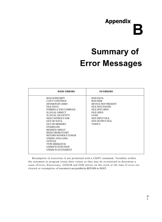## **Appendix B**

## **Summary of Error Messages**

| <b>BASIC ERRORS</b>                                                                                                                                                                                                                                                                                                                                                                                                                         | <b>OS ERRORS</b>                                                                                                                                                                                          |
|---------------------------------------------------------------------------------------------------------------------------------------------------------------------------------------------------------------------------------------------------------------------------------------------------------------------------------------------------------------------------------------------------------------------------------------------|-----------------------------------------------------------------------------------------------------------------------------------------------------------------------------------------------------------|
| <b>BAD SUBSCRIPT</b><br><b>CAN'T CONTINUE</b><br>DIVISION BY ZERO<br><b>FILE DATA</b><br>FORMULA TOO COMPLEX<br><b>ILLEGAL DIRECT</b><br><b>ILLEGAL QUANTITY</b><br><b>NEXT WITHOUT FOR</b><br>OUT OF DATA<br><b>OUT OF MEMORY</b><br><b>OVERFLOW</b><br><b>REDIM'D ARRAY</b><br><b>REDO FROM START</b><br><b>RETURN WITHOUT GOSUB</b><br><b>STRING TOO LONG</b><br><b>SYNTAX</b><br>TYPE MISMATCH<br>UNDEF'D FUNCTION<br>UNDEF'D STATEMENT | <b>BAD DATA</b><br><b>BAD DISK</b><br>DEVICE NOT PRESENT<br><b>FILE NOT FOUND</b><br><b>FILE NOT OPEN</b><br><b>FILE OPEN</b><br><b>LOAD</b><br><b>NOT INPUT FILE</b><br>NOT OUTPUT FILE<br><b>VERIFY</b> |

Resumption of execution is not permitted with a CONT command. Variables within the statement or program retain their values so they may be scrutinized to determine a cause of error, if necessary. GOSUB and FOR entries on the stack at the time of error are cleared so resumption of execution is not possible by RETURN or NEXT.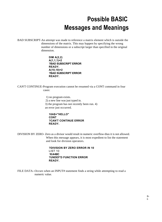### **Possible BASIC Messages and Meanings**

BAD SUBSCRIPT-An attempt was made to reference a matrix element which is outside the dimensions of the matrix. This may happen by specifying the wrong number of dimensions or a subscript larger than specified in the original dimension.

> **DIM A(2,2) A(1,1,1)=2 ?BAD SUBSCRIPT ERROR READY. A(10,10)=2 ?BAD SUBSCRIPT ERROR READY.**

CAN'T CONTINUE-Program execution cannot be resumed via a CONT command in four cases:

> 1) no program exists. 2) a new line was just typed in. 3) the program has not recently been run. 4) an error just occurred.

### **10A\$="HELLO" CONT ?CAN'T CONTINUE ERROR READY.**

DIVISION BY ZERO- Zero as a divisor would result in numeric overflow-thus it is not allowed. When this message appears, it is most expedient to list the statement and look for division operators.

> **?DIVISION BY ZERO ERROR IN 10** LIST 10 **10 A=B/C ?UNDEF'D FUNCTION ERROR READY.**

FILE DATA--Occurs when an INPUT# statement finds a string while attempting to read a numeric value.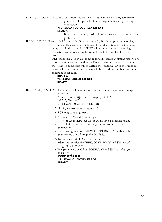FORMULA TOO COMPLEX-This indicates that BASIC has run out of string temporary pointers to keep track of substrings in evaluating a string

expression.

### **?FORMULA TOO COMPLEX ERROR**

**READY.**

Break the string expression into two smaller parts to cure the problem.

ILLEGAL DIRECT -A single 80 column buffer area is used by BASIC to process incoming characters. This same buffer is used to hold a statement that is being interpreted in direct mode. INPUT will not work because incoming characters would overwrite the variable list following INPUT to be processed.

> DEF cannot be used in direct mode for a different but similar reason. The name of a function is stored in the BASIC variable area with pointers to the string of characters which define the function. Since the function exists only in the input buffer, it would be wiped out the first time a new command is typed in.

### **INPUT A ?ILLEGAL DIRECT ERROR READY.**

ILLEGAL QUANTITY--Occurs when a function is accessed with a parameter out of range caused by:

- I. A matrix subscript out of range  $(0 < X <$ 32767) X(-1)=Y ?ILLEGAL QUANTITY ERROR
- 2. LOG (negative or zero argument)
- 3. SQR (negative argument)
- 4. A B where A=0 and B not integer.

?(-5) 2.3 is illegal because it would give a complex result.

- 5. Call of USR before machine language subroutine has been patched in.
- 6. Use of string functions MID\$, LEFT\$, RIGHTS, with length parameters out of range  $(I \le X \le 255)$ .
- 7. Index on ...GOTO out of range.
- 8. Addresses specified for PEEK, POKE, WAIT, and SYS out of range  $(O < X < 65535)$ .
- 9. Byte parameters of WAIT, POKE, TAB and SPC out of range. (  $0 < X < 255$ ).

**POKE 32768,1000 ?ILLEGAL QUANTITY ERROR READY.**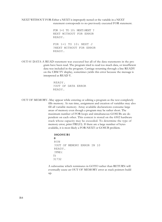### NEXT WITHOUT FOR-Either a NEXT is improperly nested or the variable in a NEXT statement corresponds to no previously executed FOR statement.

FOR 1=1 TO 10: NEXT:NEXT ? NEXT WITHOUT FOR ERROR READY. FOR 1=1 TO 10: NEXT J ?NEXT WITHOUT FOR ERROR READY.

OUT 01: DATA-A READ statement was executed but all of the data statements in the pro gram have been read. The program tried to read too much data, or insufficient data was included in the program. Carriage returning through a line READY on the CBM TV display, sometimes yields this error because the message is interpreted as READ Y.

> READY. ?OUT OF DATA ERROR READY.

OUT OF MEMORY--May appear while entering or editing a program as the text completely fills memory. At run time, assignment and creation of variables may also fill all variable memory. Array available declarations consume large areas of memory even though a program may be rather short. The maximum number of FOR loops and simultaneous GOSUBs are dependent on each other. This context is stored on the 6502 hardware stack whose capacity may be exceeded. To determine the type of memory error, print FRE(O). If there are a large number of bytes available, it is most likely a FOR-NEXT or GOSUB problem.

### **10GOSUB1**

**0**

RUN ?OUT OF MEMORY ERROR IN 10 READY. ?FRE( 0) 31732

A subroutine which terminates in GOTO rather than RETURN will eventually cause an OUT OF MEMORY error as stack pointers build up.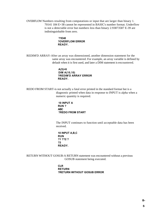OVERFLOW Numbers resulting from computations or input that are larger than binary 1. 70141 184 E+38 cannot be represented in BASIC's number format. Underflow is not a detectable error but numbers less than binary 2.93873587 E-39 are indistinguishable from zero.

> **?1E40 ?OVERFLOW ERROR READY.**

REDIM'D ARRAY-After an array was dimensioned, another dimension statement for the same array was encountered. For example, an array variable is defined by default when it is first used, and later a DIM statement is encountered.

> **A(5)=6 DIM A(10,10) ?REDIM'D ARRAY ERROR READY.**

REDO FROM START-is not actually a fatal error printed in the standard format but is a diagnostic printed when data in response to INPUT is alpha when a numeric quantity is required.

> **10 INPUT A RUN ? ABC ?REDO FROM START**

The INPUT continues to function until acceptable data has been received.

**10 INPUT A,B,C RUN ?1 ??2 ? ?3 READY.**

RETURN WITHOUT GOSUB-A RETURN statement was encountered without a previous GOSUB statement being executed.

> **CLR RETURN ?RETURN WITHOUT GOSUB ERROR**

> > **B-**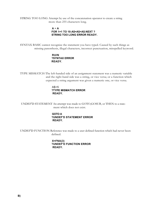STRING TOO LONG Attempt by use of the concatenation operator to create a string more than 255 characters long.

### **A** = **A FOR 1=1 TO 10:A\$=A\$+A\$:NEXT ? STRING TOO LONG ERROR READY.**

SYNTAX BASIC cannot recognize the statement you have typed. Caused by such things as missing parenthesis, illegal characters, incorrect punctuation, misspelled keyword.

### **RUIN ?SYNTAX ERROR READY.**

TYPE MISMATCH-The left-handed side of an assignment statement was a numeric variable and the right-hand side was a string, or vice versa; or a function which expected a string argument was given a numeric one, or vice versa.

### $A$=5$ **?TYPE MISMATCH ERROR READY.**

UNDEF'D STATEMENT An attempt was made to GOTO,GOSUB, or THEN to a statement which does not exist.

### **GOTO A ?UNDEF'D STATEMENT ERROR READY.**

UNDEF'D FUNCTION Reference was made to a user defined function which had never been defined.

> **X=FNA(3) ?UNDEF'D FUNCTION ERROR READY.**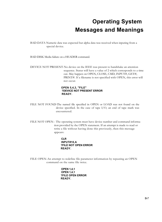### **Operating System Messages and Meanings**

BAD DATA Numeric data was expected but alpha data was received when inputing from a special device.

BAD DISK Media failure on a HEADER command.

DEVICE NOT PRESENT-No device on the IEEE was present to handshake an attention sequence. Status will have a value of 2 which corresponds to a time out. May happen on OPEN, CLOSE, CMD, INPUT#, GET#, PRINT#. If a filename is not specified with OPEN, this error will not occur.

### **OPEN 5,4,3, "FILE" ?DEVICE NOT PRESENT ERROR READY.**

FILE NOT FOUND-The named file specified in OPEN or LOAD was not found on the device specified. In the case of tape I/O, an end of tape mark was encountered.

FILE NOT OPEN-- The operating system must have device number and command information provided by the OPEN statement. If an attempt is made to read or write a file without having done this previously, then this message appears:

> **CLR INPUT#10,A ?FILE NOT OPEN ERROR READY.**

FILE OPEN-An attempt to redefine file parameter information by repeating an OPEN command on the same file twice.

> **OPEN 1,4,1 OPEN 1,4,1 ?FILE OPEN ERROR READY.**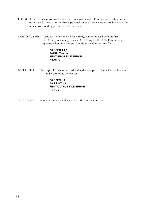LOADOnly occurs when loading a program from cassette tape. This means that there were more than 3 1 errors in the first tape block or that there were errors in exactly the same corresponding positions of both blocks.

NOT INPUT FILL--Tape files, once opened for writing, cannot be read without first CLOSEing, rewinding tape and OPENing for INPUT. This message appears when an attempt is made to read an output file:

### **10 OPEN 1,1,1 20 INPUT =+1,A ?NOT INPUT FILE ERROR READY.**

NOT OUTPUT Fl LL-Tape tiles cannot he read and updated in place. Device 0 is the keyhoard and it cannot he written to:

> **10 OPEN 1,0 20 PRINT** -t1 **?NOT OUTPUT FILE ERROR** READY.

VERIFY -The contents of memory and a specified file do not compare.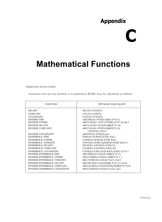### **Appendix**

# **C**

### **Mathematical Functions**

DERIVED FUNCTIONS

Functions that are not intrinsic to Commodore BASIC may be calculated as follows:

| <b>FUNCTION</b>                     | PET BASIC EQUIVALENT                     |
|-------------------------------------|------------------------------------------|
| <b>SECANT</b>                       | $SEC(X)=I/COS(X)$                        |
| <b>COSECANT</b>                     | $CSC(X)=I/SIN(X)$                        |
| <b>COTANGENT</b>                    | $COT(X)=I/TAN(X)$                        |
| <b>INVERSE SINE</b>                 | $ARCSIN(X)=ATN(X/SQR(-X*X+1))$           |
| <b>INVERSE COSINE</b>               | $ARCCOS(X) = ATN (X/SQR(-X*X+1)) + pi/2$ |
| <b>INVERSE SECANT</b>               | ARCS $EC(X)=ATN(X/SQR(X*X-1))$           |
| <b>INVERSE COSECANT</b>             | $ARCCSC(X)=ATN(X/SQR(X*X-1))$            |
|                                     | $+(SGN(X)-1)*pi/2$                       |
| <b>INVERSE COTANGENT</b>            | $ARCOT(X)=ATN(X)+pi/2$                   |
| <b>HYPERBOLIC SINE</b>              | $SINE(X)=(EXP(X)-EXP(-X))/2$             |
| <b>HYPERBOLIC COSINE</b>            | $COSH(X)=(EXP(X)+EXP(-X))/2$             |
| <b>HYPERBOLIC TANGENT</b>           | $FAN II(X)=EXP(-X)/EXP(X)+EXP(-X))^*2+1$ |
| <b>HYPERBOLIC SECANT</b>            | $SECH(X)=2/(EXP(X)+EXP(-X))$             |
| <b>HYPERBOLIC COSECANT</b>          | $CSCH(X)=2/(EXP(X)-EXP(-X))$             |
| <b>HYPERBOLIC COTANGENT</b>         | $COTH(X)=FXP(-X)/(EXP(X)-EXP(-X)*2+1$    |
| <b>INVERSE HYPERBOLIC SINE</b>      | $ARCSINI(X)=LOG(X+SOR(X*X+1))$           |
| <b>INVERSE HYPERBOLIC COSINE</b>    | $ARCCOSH(X)=LOG(X+SOR(X*X-1))$           |
| <b>INVERSE HYPERBOLIC TANGENT</b>   | $ARCTANH(X)=LOG((1+X)/(1-X))/2$          |
| <b>INVERSE HYPERBOLIC SECANT</b>    | $ARCSECH(X)=LOG((SOR(-X*X+1)+1)/X)$      |
| <b>INVERSE HYPERBOLIC COSECANT</b>  | $ARCCSCH(X)=LOG((SGN(X)*SQR(X*X+1)/X$    |
| <b>INVERSE HYPERBOLIC COTANGENT</b> | $ARCCOTH(X)=LOG((X+1)/(X-1))/2$          |
|                                     |                                          |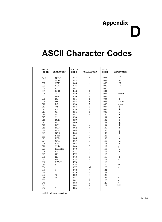## **Appendix D**

## **ASCII Character Codes**

| <b>ASCII</b><br>CODE | <b>CHARACTER</b>    | <b>ASCII</b><br>CODE | <b>CHARACTER</b>         | <b>ASCII</b><br>CODE | <b>CHARACTER</b>                                      |
|----------------------|---------------------|----------------------|--------------------------|----------------------|-------------------------------------------------------|
| 000                  | <b>NULL</b>         | 043                  | $+$                      | 086                  | V                                                     |
| 001                  | SOH                 | 044                  |                          | 087                  | W                                                     |
| 002                  | <b>STX</b>          | 045                  |                          | 088                  | X                                                     |
| 003                  | ETX                 | 046                  |                          | 089                  | Y                                                     |
| 004                  | <b>EOT</b>          | 047                  | $\sqrt{2}$               | 090                  | Z                                                     |
| 005                  | <b>ENQ</b>          | 048                  | $\boldsymbol{0}$         | 091                  | $\mathbf{1}$                                          |
| 006                  | ${\rm ACK}$         | 049                  | $\mathbf{1}$             | 092                  | bkslash                                               |
| 007                  | <b>BEL</b>          | 050                  | $\overline{c}$           | 093                  | $\mathbf{1}$                                          |
| 008                  | <b>BS</b>           | 051                  | 3                        | 094                  | $\mathbf{t}$                                          |
| 009                  | HT                  | 052                  | $\overline{4}$           | 095                  | back arr                                              |
| 010                  | LF                  | 053                  | 5                        | 096                  | space                                                 |
| 011                  | <b>VT</b>           | 054                  | 6                        | 097                  | a                                                     |
| 012                  | FF                  | 055                  | $\boldsymbol{7}$         | 098                  | $\mathbf b$                                           |
| 013                  | ${\sf CR}$          | 056                  | $\,8\,$                  | 099                  | $\mathbf c$                                           |
| 014                  | SO <sub>1</sub>     | 057                  | 9                        | 100                  | $\mathbf d$                                           |
| 015                  | SI                  | 058                  |                          | 101                  | $\rm e$                                               |
| 016                  | <b>DLE</b>          | 059                  |                          | 102                  | f                                                     |
| 017                  | DCl                 | 060                  | $\,<$                    | 103                  | g                                                     |
| 018                  | DC2                 | 061                  | $=$                      | 104                  | h                                                     |
| 019                  | DC <sub>3</sub>     | 062                  | $\geq$                   | 105                  | $\mathbf{i}$                                          |
| 020                  | DC4                 | 063                  | $\overline{\mathcal{C}}$ | 106                  | j                                                     |
| 021                  | <b>NAK</b>          | 064                  | (u                       | 107                  | $\bf k$                                               |
| 022                  | <b>SYN</b>          | 065                  | A                        | 108                  | $\mathbf{1}$                                          |
| 023                  | <b>ETB</b>          | 066                  | B                        | 109                  | $\mathbf m$                                           |
| 024                  | CAN                 | 067                  | $\mathsf{C}$             | 110                  | $\mathbf n$                                           |
| 025                  | EM                  | 068                  | D                        | 111                  | $\mathbf{O}$                                          |
| 026                  | <b>SUB</b>          | 069                  | $\mathbf E$              | 112                  | p                                                     |
| 027                  | <b>ESCAPE</b>       | 070                  | ${\bf F}$                | 113                  | $\mathbf{q}$                                          |
| 028                  | $_{\rm FS}$         | 071                  | ${\bf G}$                | 114                  | $\mathbf r$                                           |
| 029                  | $\operatorname{GS}$ | 072                  | H                        | 115                  | $\mathbf{s}$                                          |
| 030                  | RS                  | 073                  | $\mathbf{1}$             | 116                  | t                                                     |
| 031                  | <b>US</b>           | 074                  | $\mathbf{1}$             | 117                  | u                                                     |
| 032                  | <b>SPACE</b>        | 075                  | K                        | 118                  | $\mathbf{V}$                                          |
| 033                  | Ţ                   | 076                  | L                        | 119                  | W                                                     |
| 034                  |                     | 077                  | M                        | 120                  | $\mathbf x$                                           |
| 035                  | $\#$                | 078                  | ${\bf N}$                | 121                  | $\mathbf y$                                           |
| 036                  | \$                  | 079                  | $\mathbf{0}$             | 122                  | $\mathbf{Z}% ^{T}=\mathbf{Z}^{T}\times\mathbf{Z}^{T}$ |
| 037                  | $\%$                | 080                  | $\mathbf{P}$             | 123                  |                                                       |
| 038                  | &                   | 081                  | $\mathbf Q$              | 124                  | $\,<$                                                 |
| 039                  |                     | 082                  | $\mathbb{R}$             | 125                  | $=$                                                   |
| 040                  |                     | 083                  | ${\bf S}$<br>T           | 126                  | >                                                     |
| 041<br>042           | $\ast$              | 084                  | U                        | 127                  | DEL                                                   |
|                      |                     | 085                  |                          |                      |                                                       |

ASCII codes are in decimal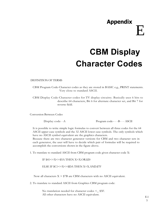## **Appendix** E

## **CBM Display Character Codes**

### DEFINITION OF TERMS

CBM Program Code-Character codes as they are stored in BASIC e.g., PRINT statements. Very close to standard ASCII.

CBM Display Code-Character codes for TV display circuitry. Basically uses 6 bits to describe 64 characters, Bit 6 for alternate character set, and Bit 7 for reverse field.

Conversion Between Codes

Display code- -A Program code-- - -B- - - ASCII

It is possible to write simple logic formulas to convert between all three codes for the 64 ASCII upper case symbols and the 32 ASCII lower case symbols. The only symbols which have no ASCII symbol equivalent are the graphics characters.

Because there are two character generator versions for CBM and two character sets in each generator, the user will have to decide which pair of formulas will be required to accomplish the conversions shown in the figure above.

1. To translate to standard ASCII from CBM program code given character code X:

IF \$41<=X<=\$5A THEN X=X.OR.\$20

ELSE IF \$C1<=X<=\$DA THEN X=X.AND.\$7F

Now all characters  $X > $7B$  are CBM characters with no ASCII equivalent.

2. To translate to standard ASCII from Graphics CBM program code:

No translation needed for character codes  $\leq$  \$5F. All other characters have no ASCII equivalent.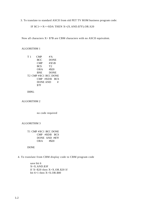3. To translate to standard ASCII from old PET TV ROM business program code:

IF  $C1 <= X <= SDA$  THEN  $X = (X.AND. $7F).OR.S20$ 

Now all characters X> \$7B are CBM characters with no ASCII equivalent.

### ALGORITHM 1

T 1 CMP #'A BCC DONE CMP #\$5B<br>BCS T2 **BCS** ORA #\$20 BNE DONE T2 CMP #\$CI BCC DONE CMP #\$DB BCS DONE AND # \$7F

### DON<sub>L</sub>.

ALGORITHM 2

no code required

### ALGORITHM 3

T1 CMP #\$CI BCC DONE CMP #\$DB BCS DONE AND #\$7F ORA #\$20

DONE

4. To translate from CBM display code to CBM program code

save bit 6 X=X.AND.\$3F If  $X < $20$  then  $X = X.OR$ .\$20 If bit  $6=1$  then  $X=X.OR.S80$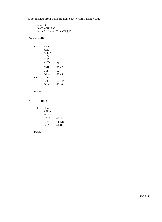5. To translate from CBM program code to CBM display code

save bit 7 X=X.AND.\$3F if bit  $7 = I$  then  $X=X.OR.S40$ 

### ALGORITHM 4

| L1 | <b>PHA</b> |             |
|----|------------|-------------|
|    | ASL A      |             |
|    | ASL A      |             |
|    | PLA        |             |
|    | <b>PHP</b> |             |
|    | <b>AND</b> | #\$3F       |
|    | <b>CMP</b> | # \$20      |
|    | <b>BCS</b> | L2          |
|    | OR A       | #\$40       |
| L2 | <b>PLP</b> |             |
|    | <b>BCC</b> | <b>DONE</b> |
|    | OR A       | #\$80       |
|    |            |             |

DONE

### ALGORITHM 5

| L <sub>1</sub> | <b>PHA</b> |             |
|----------------|------------|-------------|
|                | ASL A      |             |
|                | PLA        |             |
|                | <b>AND</b> | #\$3F       |
|                | <b>BCC</b> | <b>DONE</b> |
|                | OR A       | #\$40       |

### DONE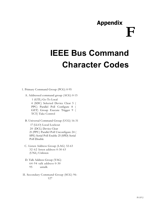## **Appendix F**

## **IEEE Bus Command Character Codes**

1. Primary Command Group (PCG) 0-95

A. Addressed command group (ACG) 0-15

1 (GTL) Go To Local 4 (SDC) Selected Device Clear 5 ( PPC) Parallel Poll Configure 8 ( GET) Group Execute Trigger 9 ( TCT) Take Control

B. Universal Command Group (UCG) 16-31 (LLO) Local Lockout (DCL) Device Clear (PPU) Parallel Poll Unconfigure 24 (

SPE) Serial Poll Enable 25 (SPD) Serial Poll Disable

- C. Listen Address Group (LAG) 32-63 32-62 listen address 0-30 63 (UNL) Unlisten
- D. Talk Address Group (TAG) 64-94 talk address 0-30 untalk
- II. Secondary Command Group (SCG) 96- 127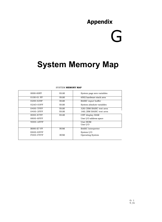### **Appendix**

# G

## **System Memory Map**

| 0000-00FF         | RAM        | System page zero variables |
|-------------------|------------|----------------------------|
| 0100-01 FF        | RAM        | 6502 hardware stack area   |
| 0200-029F         | RAM        | <b>BASIC</b> input buffer  |
| $02AO-03FF$       | RAM        | System absolute variables  |
| 0400-7FFF         | RAM        | 32K CBM BASIC text area    |
| 0400-3FFF         | RAM        | 16K ('BM BASIC text area   |
| 8000-87FF         | RAM        | CRT display RAM            |
| 8800-8FFF         |            | User I/O address space     |
| 9000-AFFF         |            | User ROM                   |
|                   |            | User $I/O$                 |
| <b>B000-E7 FF</b> | <b>ROM</b> | <b>BASIC</b> Interpreter   |
| E800-EFFF         |            | System I/O                 |
| $FOOO-FFFFF$      | <b>ROM</b> | <b>Operating System</b>    |

#### SYSTEM **MEMORY MAP**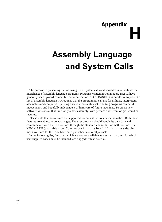## **Appendix H**

## **Assembly Language and System Calls**

The purpose in presenting the following list of system calls and variables is to facilitate the interchange of assembly language programs. Programs written in Commodore BASIC have generally been upward compatible between versions 1-4 of BASIC. It is our desire to present a list of assembly language I/O routines that the programmer can use for utilities, interpreters, assemblers and compilers. By using only routines in this list, resulting programs can be I/O independent, and hopefully independent of hardware of future machines. To create new software versions at that time, only a new assembly, with perhaps a different origin, would be required.

Please note that no routines are supported for data structures or mathematics. Both these features are subject to great changes. The user program should handle its own data and communicate with the I/O routines through the standard channels. For math routines, try KIM MATH (available from Commodore in listing form). If this is not suitable, math routines for the 6502 have been published in several journals.

In the following list, functions which are not yet available as a system call, and for which user supplied codes must be included, are flagged with an asterisk.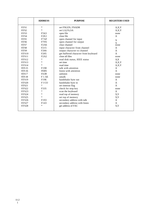|                   | <b>ADDRESS</b>   | <b>PURPOSE</b>                       | <b>REGISTERS USED</b> |
|-------------------|------------------|--------------------------------------|-----------------------|
| SYS1              | $\ast$           | set FNLEN, FNADR                     | A, X, Y               |
| SYS <sub>2</sub>  | $\ast$           | set LA, FA, SA                       | A, X, Y               |
| SYS3              | F563             | open file                            | none                  |
| SYS4              | F2E2             | close file                           | $\mathsf{A}$          |
| SYS <sub>5</sub>  | F7AF             | open channel for input               | $\mathbf{x}$          |
| SYS <sub>6</sub>  | F7FE             | open channel for output              | $\mathbf{x}$          |
| SYS7              | F2A6             | clear channel                        | none                  |
| SYS <sub>8</sub>  | F <sub>215</sub> | input character from channel         | A                     |
| SYS9              | F <sub>266</sub> | output character to channel          | A                     |
| <b>SYS10</b>      | F <sub>205</sub> | get buffered character from keyboard | $\mathsf{A}$          |
| SYS <sub>11</sub> | F2A2             | close all files                      | none                  |
| <b>SYS12</b>      | $\ast$           | read disk status, IEEE status        | AX                    |
| <b>SYS13</b>      | $\ast$           | set time                             | A, X, Y               |
| <b>SYS14</b>      | $\ast$           | read time                            | A, X, Y               |
| <b>SYS15</b>      | F198             | talk with attention                  | $\mathsf{A}$          |
| <b>SYS16</b>      | FOD <sub>5</sub> | listen with attention                | $\mathsf{A}$          |
| SYS17             | F1139            | unlisten                             | none                  |
| <b>SYS18</b>      | F1AE             | untalk                               | none                  |
| <b>SYS19</b>      | F19E             | handshake byte out                   | A                     |
| <b>SYS20</b>      | <b>FICO</b>      | handshake byte in                    | $\mathsf{A}$          |
| <b>SYS21</b>      | $\ast$           | set timeout flag                     | $\mathsf{A}$          |
| SYS <sub>22</sub> | F335             | check for stop key                   | none                  |
| SYS <sub>23</sub> | $\ast$           | scan the keyboard                    | $\mathsf{A}$          |
| SYS <sub>24</sub> | $\ast$           | read top of memory                   | X,Y                   |
| <b>SYS25</b>      | $\ast$           | set top of memory                    | X,Y                   |
| SYS26             | F <sub>193</sub> | secondary address with talk          | A                     |
| <b>SYS27</b>      | F143             | secondary address with listen        | $\mathsf{A}$          |
| SYS <sub>28</sub> | $\ast$           | get address of FAC                   | X,Y                   |
|                   |                  |                                      |                       |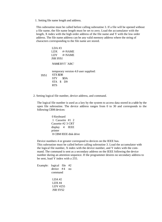1. Setting file name length and address.

This subroutine must be called before calling subroutine 3. If a file will be opened without a file name, the file name length must be set to zero. Load the accumulator with the length, X index with the high order address of the file name and Y with the low order address. The file name address can be any valid memory address where the string of characters corresponding to the file name are stored.

 $LDA$ #3 LDX #>NAME LDY #<NAME JSR SYS I SYS 1 NAMEBYT `ABC' temporary version 4.0 user supplied: STX \$DB STY \$DA STA \$ D9 RTS

2. Setting logical file number, device address, and command.

The logical file number is used as a key by the system to access data stored in a table by the open file subroutine. The device address ranges from 0 to 30 and corresponds to the following CBM devices:

> 0 Keyboard 1 Cassette #1 2 Cassette #2 3 CRT display 4 IEEE printer 8 CBM IEEE disk drive

Device numbers 4 or greater correspond to devices on the IEEE bus. This subroutine must be called before calling subroutine 3. Load the accumulator with the logical file number, X index with the device number, and Y index with the command. The command is sent as a secondary address on the IEEE following the device number during an attention sequence. If the programmer desires no secondary address to be sent, load Y index with a 255.

Example: logical file #2 device #4 no command  $LDA #2$ LDX #4 LDY #255 JSR SYS2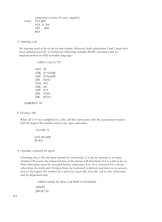SYS2 temporary version 4.0 user supplied: STA \$D2 STX \$ D4 STY \$D3 RTS

### 3. Opening a tile.

No registers need to be set up for this routine. However, both subroutines I and 2 must have been called previously. Consider the following example BASIC statement and its implementation in 6502 assembly language:

### OPEN 15,8,15,"10"

LDA #2 LDX #>NAME LDY #<NAME JSR SYSI LDA #15  $IDX$  #8 LDY #15 JSR SYS2 JSR \$F563

### NAMEBYT `10'

### 4. Closing a file.

When all 1/O has completed to a file, call this subroutine with the accumulator loaded with the logical file number used in the open subroutine.

> ;CLOSE 15 LDA #15 JSR \$F2E2

5. Opening a channel for input.

Assuming that a file has been opened by subroutine 3, it can be opened as an input channel. Of course the characteristics of the device will determine if it is valid to do so. This subroutine must be executed before subroutine 8 or 10 is executed for a device other than the keyboard. If input from the keyboard is desired, and there is no association to the logical file number by a previous open file, then the call to this subroutine may be dispensed with.

> OPEN LOGICAL FILE 2 AS INPUT CHANNEL LDX #2 JSR \$F7AF

11-4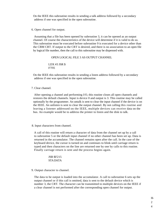On the IEEE this subroutine results in sending a talk address followed by a secondary address if one was specified in the open subroutine.

6. Open channel for output.

Assuming that a file has been opened by subroutine 3, it can be opened as an output channel. Of course the characteristics of the device will determine if it is valid to do so. This subroutine must be executed before subroutine 9 is executed for a device other than the CBM CRT. If output to the CRT is desired, and there is no association to an open file by logical file number, then the call to this subroutine may be dispensed with.

OPEN LOGICAL FILE 3 AS OUTPUT CHANNEL

LDX #3 JSR \$ F7FE

On the IEEE this subroutine results in sending a listen address followed by a secondary address if one was specified in the open subroutine.

### 7. Clear channel.

After opening a channel and performing I/O, this routine closes all open channels and restores the default channels. Input is device 0 and output is 3. This routine may be called optionally by the programmer. An untalk is sent to clear the input channel if the device is on the IEEE. An unlisten is sent to clear the output channel. By not calling this routine and leaving a listener addressed on the IEEE, multiple devices can receive data on the bus. An example would be to address the printer to listen and the disk to talk.

8. Input characters from channel.

A call of this routine will return a character of data from the channel set up by a call to subroutine 5 or the default input channel if no other channel has been set up. Data is returned in the accumulator. The channel remains open after the call. In the case of the keyboard device, the cursor is turned on and continues to blink until carriage return is typed and then characters on the line are returned one by one by calls to this routine. Finally carriage return is sent and the process begins again.

### JSR \$F215 STA DATA

9. Output character to channel.

The data to be output is loaded into the accumulator. A call to subroutine 6 sets up the output channel or if this call is omitted, data is sent to the default device which is number 3, the CRT. The character can be transmitted to multiple devices on the IEEE if a clear channel is not performed after the corresponding open channel for output.

> H-2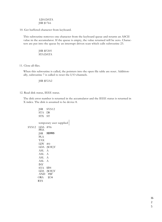### LDA DATA JSR \$1:266

10. Get buffered character from keyboard.

This subroutine removes one character from the keyboard queue and returns an ASCII value in the accumulator. If the queue is empty, the value returned will be zero. Characters are put into the queue by an interrupt driven scan which calls subroutine 23.

> JSR \$F205 STA DATA

11. Close all files.

When this subroutine is called, the pointers into the open file table are reset. Additionally, subroutine 7 is called to reset the I/O channels.

JSR \$F2A2

12. Read disk status, IEEE status.

The disk error number is returned in the accumulator and the IEEE status is returned in X index. The disk is assumed to be device 8.

|               | JSR SYS12                                                        |
|---------------|------------------------------------------------------------------|
| STA DS        |                                                                  |
| STX ST        |                                                                  |
|               |                                                                  |
|               | temporary user supplied                                          |
| SYS12 LDA #96 |                                                                  |
| PHA           |                                                                  |
|               | JSR 5D995                                                        |
| PLA           |                                                                  |
| TAX           |                                                                  |
| LDY $\#0$     |                                                                  |
|               | LDA (\$OE)Y                                                      |
| ASL A         |                                                                  |
| ASL A         |                                                                  |
| ASL A         |                                                                  |
| ASL A         |                                                                  |
| INY           |                                                                  |
| STA \$B4      |                                                                  |
|               |                                                                  |
|               | $\begin{tabular}{ll} LDA & (\$OE)Y \\ AND & \#\$F \end{tabular}$ |
| ORA \$134     |                                                                  |
| <b>RTS</b>    |                                                                  |
|               |                                                                  |

H-2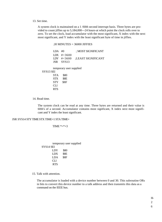13. Set time.

A system clock is maintained on a 1 /60th second interrupt basis. Three bytes are provided to count jiffies up to 5,184,000---24 hours-at which point the clock rolls over to zero. To set the clock, load accumulator with the most significant, X index with the next most significant, and Y index with the least significant byte of time in jiffies.

### ;I0 MINUTES = 36000 JIFFIES

LDA #0 ; MOST SIGNIFICANT LDX #>3600 LDY #<3600 JSR SYS13 ;LEAST SIGNIFICANT

temporary user supplied

SYS13 SEI

STA \$80 STX \$8E STY \$8F CLI RTS

14. Read time.

The system clock can be read at any time. Three bytes are returned and their value is 60th's of a second. Accumulator contains most signficant, X index next most significant and Y index the least significant.

### JSR SYS14 STY TIME STX TIME+1 STA TIME+

TIME  $*=+3$ 

temporary user supplied SYS14 SEI LDY \$80 LDX \$8E LDA \$8F CLI RTS

15. Talk with attention.

The accumulator is loaded with a device number between 0 and 30. This subroutine ORs in bits to convert this device number to a talk address and then transmits this data as a command on the IEEE bus.

H-

6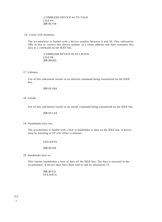;COMMAND DEVICE #4 TO TALK LDA #4 JSR \$F198

16. Listen with attention.

The accumulator is loaded with a device number between 0 and 30. This subroutine ORs in bits to convert this device number to a listen address and then transmits this data as a command on the IEEE bus.

> ;COMMAND DEVICE #8 TO LISTEN  $LDA$ #8 JSR \$FOD5

### 17. Unlisten.

Use of this subroutine results in an unlisten command being transmitted on the IEEE bus.

JSR \$F1B9

18. Untalk.

Use of this subroutine results in an untalk command being transmitted on the IEEE bus.

JSR \$F1AE

### 19. Handshake byte out.

The accumulator is loaded with a byte to handshake as data on the IEEE bus. A device must be listening or ST will reflect a timeout.

### LDA DATA

#### JSR \$F19E

20. Handshake byte in.

This routine handshakes a byte of data off the IEEE bus. The data is returned in the accumulator. A device must have been told to talk by subroutine 15.

> JSR \$F1C0 STA DATA

7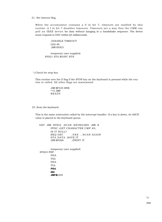21. Set timeout flag.

When the accumulator contains a 0 in bit 7, timeouts are enabled by this routine. A I in bit 7 disables timeouts. Timeouts are a way that the CBM can poll an IEEE device for data without hanging in a handshake sequence. The device must respond to DAV within ()4 milliseconds.

> ;DISABLE TIMEOUT LDA #0 JSR SYS21

temporary user supplied: SYS21 STA \$03FC RTS

'') Check for stop key.

This routine sets the Z flag if the STOP key on the keyboard is pressed while the routine is called. All other flags are maintained.

> JSR \$F335 BNE  $*+5$  JMP READY

23. Scan the keyboard.

This is the same subroutine called by the interrupt handler. If a key is down, its ASCII value is placed in the keyboard queue.

GET JSR SYS23 ;SCAN KEYBOARD JSR \$ FFDC ;GET CHARACTER CMP #0; IS IT NULL? BEQ GET ; YES ... SCAN AGAIN STA DATA ;SAVE IT JSR \$F266 ;PRINT IT

temporary user supplied: SYS23 PHP PHA TXA PHA TYA **PHA SEI JMP \$**E455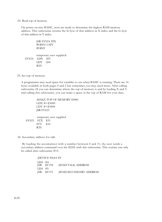#### 24. Read top of memory.

On power on into BASIC, tests are made to determine the highest RAM memory address. This subroutine returns the hi byte of that address in X index and the lo byte of that address in Y index.

JSR SYS24 STX POINT+1 STY POINT temporary user supplied: SYS24 LDX \$35 LDY \$34 RTS

25. Set top of memory.

A programmer may need space for variables to use when BASIC is running. There are 16 bytes available in both pages 0 and 2 but sometimes you may need more. After calling subroutine 24 you can determine where the top of memory is and by loading X and Y and calling this subroutine, you can make a space at the top of RAM for your data.

;MAKE TOP OF MEMORY \$3000 LDX #>\$3000 LDY #<\$3000 JSR SYS25 temporary user supplied SYS25 STX \$35

26. Secondary address for talk.

RTS

STY \$34

By loading the accumulator with a number between 0 and 31, the user sends a secondary address command over the IEEE with this subroutine. This routine can only be called after subroutine #15.

> ;DEVICE #4,SA #5 LDA #4<br>JSR \$F198 **SEND TALK ADDRESS** LDA #5 JSR \$F193 ;SEND SECONDARY ADDRESS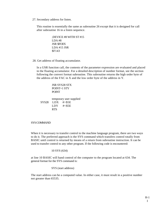27. Secondary address for listen.

This routine is essentially the same as subroutine 26 except that it is designed for call after subroutine 16 in a listen sequence.

```
;DEVICE #8 WITH ST #15
LDA #8
JSR $FOD5
LDA #15 JSR
$F143
```
28. Get address of floating accumulator.

In a USR function call, the contents of the parameter expression are evaluated and placed in the floating accumulator. For a detailed description of number format, see the section following the convert format subroutine. This subroutine returns the high order byte of the address of the FAC in X and the low order byte of the address in Y.

> JSR SYS28 STX POINT+1 STY POINT

temporary user supplied SYS28 LDX #>\$5E  $LDY$  #<\$5E RTS

### SYS COMMAND

When it is necessary to transfer control to the machine language program, there are two ways to do it. The preferred approach is the SYS command which transfers control totally from BASIC until control is returned by means of a return from subroutine instruction. It can be used to transfer control to any other program. If the following code is encountered:

10 SYS (634)

at line 10 BASIC will hand control of the computer to the program located at 634. The general format for the SYS command is:

SYS (start address)

The start address can be a computed value. In either case, it must result in a positive number not greater than 65535.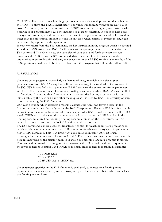CAUTION: Execution of machine language code removes almost all protection that is built into the ROMs to allow the BASIC interpreter to continue functioning without regard to user error. As soon as you transfer control from BASIC' to your own program, any mistakes which occur in your program may cause the machine to cease to function. In order to help solve this type of problem, you should not use the machine language monitor to develop anything other than the most trivial amount of code. In any case, when control of system is lost, it can be regained by repowering the system on.

In order to return from the SYS command, the last instruction in the program which is executed should be a RTS instruction. BASIC will then start interpreting the next statement after the SYS command. In order to pass the variables of data back and forth between the user program and BASIC using the SYS command, data has to be POKEd into temporarily undisturbed memory locations during the execution of the BASIC routine. The results of the SYS operation would have to be PEEKed back into the program that follows the call to SYS.

### USR FUNCTION

There are some programs, particularly mathematical ones, in which it is easier to pass parameters to/from BASIC'' using the USR function and to get the results directly processed in BASIC. USR is specified with a parameter. BASIC evaluates the expression for its parameter and leaves the results of the evaluation in a floating accumulator which BASIC'' uses for all of its functions. It is noted that if no parameter is passed, the floating accumulator is not initializeable by the user or by any other techniques as it is used by BASIC in a variety of ways prior to executing the USR function.

USR calls a routine which executes a machine language program, and leaves a result in the floating accumulator to be analyzed by the BASIC expression. Because USR is a function, it is possible to include the function called user as part of a BASIC instruction as in: IF USR ( A)=1, THEN etc. In this case the parameter A will be passed to the USR function in the floating accumulator. The resulting floating accumulator, when the user returns to BASIC, would be compared to 1 and the logical function would be executed.

The SYS command is more useful for transferring control for machine language processing in which variables are not being acted on. USR is more useful when one is trying to implement a new BASIC command. This is an important consideration in using USR. USR uses preassigned variable locations: locations 1 and 2. These locations must be initialized with the hexadecimal value of the starting address in which the machine language program is stored. This can be done anywhere throughout the program with a POKE of the decimal equivalent of the lower address to location I and POKE of the high order address in location 2. Example:

> 10 POKE 1,122 20 POKE 2,2 30 IF USR (A)=1 THEN etc.

The parameter specified in the USR function is evaluated, converted to a floating point equivalent with signs, exponent, and mantissa, and placed in a series of bytes which we will call the floating accumulator.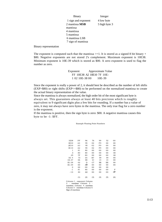Binary Integer 1 sign and exponent 4 low byte 2 mantissa **MSB** 5 high byte 3 mantissa 4 mantissa 5 mantissa 6 mantissa LSB 7 sign of mantissa

Binary representation

The exponent is computed such that the mantissa  $>=1$ . It is stored as a signed 8 bit binary + \$80. Negative exponents are not stored 2's complement. Maximum exponent is 10E38. Minimum exponent is 10E-39 which is stored as \$00. A zero exponent is used to flag the number as zero.

> Exponent Approximate Value FF 10E38 A2 10E10 7F 10E-1 02 10E-38 00 10E-39

Since the exponent is really a power of 2, it should best be described as the number of left shifts (EXP>\$80) or right shifts (EXP<=\$80) to be performed on the normalized mantissa to create the actual binary representation of the value.

Since the mantissa is always normalized, the high order bit of the most significant byte is always set. This guarantees always at least 40 bits precision which is roughly equivalent to 9 significant digits plus a few bits for rounding. If a number has a value of zero, it may not always have zero bytes in the mantissa. The only true flag for a zero number is the exponent.

If the mantissa is positive, then the sign byte is zero: \$00. A negative mantissa causes this byte to be -1: \$FF.

Example Floating Point Numbers

| 1E38     | FF             | 96             | 76             | 99  | 52             | 0 <sub>0</sub> |
|----------|----------------|----------------|----------------|-----|----------------|----------------|
| 4E10     | AA             | 95             | 02             | F9  | 00             | 00             |
| 2E10     | A <sub>3</sub> | 95             | 02             | F9  | 0 <sup>0</sup> | 0 <sup>0</sup> |
| 1E10     | A2             | 95             | 02             | F9  | 0 <sup>0</sup> | 00             |
| 1        | 81             | 80             | 00             | 00  | 0 <sup>0</sup> | 00             |
| .5       | 80             | 80             | 00             | 00  | 00             | 00             |
| .25      | 7F             | 80             | 00             | 00  | 0 <sup>0</sup> | 00             |
| $IE-4$   | 73             | D1             | B7             | 59  | 59             | 00             |
| $1E-37$  | 06             | 88             | 1 <sup>C</sup> | 14  | 14             | 00             |
| $IE-38$  | 02             | D              | C7             | EE  | EE             | 00             |
| IE-39    | 00             | A <sup>O</sup> | 00             | 00  | 0 <sup>0</sup> | 0 <sup>0</sup> |
| $\Omega$ | 00             | 0 <sub>0</sub> | 00             | 00  | 0 <sup>0</sup> |                |
| $-1$     | 81             | 80             | 00             | 00  | 0 <sup>0</sup> | F              |
| $-10$    | 84             | AO             | 00             | 00  | 00             | FF             |
|          |                |                |                |     |                |                |
|          | (1)            | (2)            | (3)            | (4) | (5)            | (6)            |
|          |                |                |                |     |                |                |

Column I - exponent Column 2 - mantissa Column 3

mantissa Column 4 mantissa Column 5 - mantissa Column 6 Sign of mantissa

11-13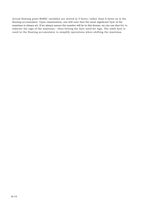Actual floating point BASIC variables are stored in 5 bytes, rather than 6 bytes as is the floating accumulator. Upon examination, one will note that the most signficant byte of the mantissa is always set. If we always assure the number will be in this format, we can use that bit to indicate the sign of the mantissa---thus freeing the byte used for sign. The sixth byte is used in the floating accumulator to simplify operations when shifting the mantissa.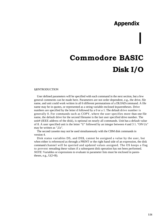# **Appendix Commodore BASIC Disk I/O** I

### **1.1**INTRODUCTION

User defined parameters will be specified with each command in the next section, but a few general comments can be made here. Parameters are not order dependent, e.g., the drive, file name, and unit could work written in all 6 different permutations of a DLOAD command. A file name may be in quotes, or represented as a string variable enclosed inparentheses. Drive numbers are specified by the letter d followed by a 0 or a 1. The default drive number is generally 0. For commands such as COPY, where the user specifies more than one file name, the default drive for the second filename is the last user specified drive number. The unit# (IEEE address of the disk), is optional on nearly all commands. Unit has a default value of 8. A user specified unit is the letter "U" followed by an integer between 4 and 3 1. "ON Uz" may be written as ",Uz".

The second cassette may not be used simultaneously with the CBM disk commands in version 4.

Disk status variables DS, and DS\$, cannot be assigned a value by the user, but when either is referenced as through a PRINT or the right hand side of an expression, the disk command channel will be queried and updated values assigned. The OS keeps a flag to prevent rereading these values if a subsequent disk operation has not been performed. *NOTE:* Variables or expressions to evaluate in parameter lists must be enclosed in parentheses, e.g.,  $U(2+B)$ .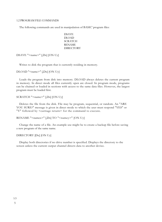### 1.2 PROGRAM FILE COMMANDS

The following commands are used in manipulation of BASIC' program files:

DSAVE DLOAD **SCRATCH** RENAME **DIRECTORY** 

DSAVE "<name>" [,Dx] [ON Uy]

Writes to disk the program that is currently residing in memory.

DLOAD "<name>" [,Dx] [ON Uy]

Loads the program from disk into memory. DLOAD always deletes the current program in memory. In direct mode all files currently open are closed. In program mode, programs can be chained or loaded in sections with access to the same data files. However, the largest program must be loaded first.

SCRATCH "<name>" [,Dx] [ON Uy]

Deletes the file from the disk. File may be program, sequential, or random. An "ARE YOU SURE?" message is given in direct mode to which the user must respond "YES" or "Y" followed by <carriage return> for the command to execute.

```
RENAME "<namex>" [,Dx] TO "<namey>" [ON Uy]
```
Change the name of a file. An example use might be to create a backup file before saving a new program of the same name.

```
DIRECTORY [Dx] [ON Uy]
```
Display both directories if no drive number is specified. Displays the directory to the screen unless the current output channel directs data to another device.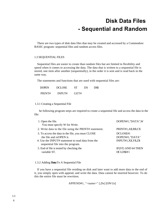### **Disk Data Files - Sequential and Random**

There are two types of disk data files that may be created and accessed by a Commodore BASIC program: sequential files and random access files.

### 1.3 SEQUENTIAL FILES

Sequential files are easier to create than random files but are limited in flexibility and speed when it comes to accessing the data. The data that is written to a sequential file is stored, one item after another (sequentially), in the order it is sent and is read back in the same way.

The statements and functions that are used with sequential files are:

| <b>DOPEN</b> | <b>DCLOSE</b> | <b>ST</b> | DS | DSS |
|--------------|---------------|-----------|----|-----|
| PRINT#       | INPUT#        | GET#      |    |     |

### 1.3.1 Creating a Sequential File

he following program steps are required to create a sequential file and access the data in the file:

| 1. Open the file.                                                                                                                 | DOPEN#1,"DATA",W                                  |
|-----------------------------------------------------------------------------------------------------------------------------------|---------------------------------------------------|
| You must specify W for Write.                                                                                                     |                                                   |
| 2. Write data to the file using the PRINT# statement.                                                                             | PRINT#1,A\$;B\$;C\$                               |
| 3. To access the data in the file, you must CLOSE<br>the file and reOPEN it.<br>4. Use the INPUT# statement to read data from the | DCLOSE#1<br>DOPEN#1,"DATA"<br>INPUT#1,X\$,Y\$,Z\$ |
| sequential file into the program.                                                                                                 |                                                   |
| 5. End of file is tested by checking the<br>variable ST.                                                                          | IF(ST) AND 64 THEN<br>DCLOSE#1                    |

### 1.3.2 Adding **Data**To A Sequential File

If you have a sequential file residing on disk and later want to add more data to the end of it, you simply open with append, and write the data. Data cannot be inserted however. To do this the entire file must be rewritten.

APPEND#1, "<name>" [,Dx] [ON Uz]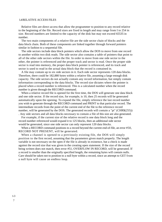### 1.4RELATIVE ACCESS FILES

Relative files are direct access that allow the programmer to position to any record relative to the beginning of the file. Record sizes are fixed in length and may range from I to 254 in size. Record numbers are limited to the capacity of the disk but may not exceed 65535 in number.

The two main components of a relative file are the side sector chain of blocks and the data block chain. Both of these components are linked together through forward pointers similar in fashion to a sequential file.

The side sectors include data block pointers which allow the DOS to move from one record to another within two disk reads. The side sector also contains a table of pointers that point to all of the other side sectors within the file. In order to move from one side sector to the other, the pointer is referenced and the proper track and sector is read. Once the proper side sector is read into memory, the proper data block pointer is referenced, and its track and sector is used to read in the actual data block that the record is contained in.

A file may contain up to six side sectors in it. Each side sector represents 120 data blocks. Therefore, there could be 182,880 bytes within a relative file, assuming a large enough disk capacity. The side sectors do not actually contain any record information, but simply contain information corresponding to the data blocks. The record size dictates where the pointer is placed when a record number is referenced. This is a calculated number when the record number is given through the RECORD command.

When a relative record file is opened for the first time, the DOS will generate one data block and one side sector. If the record size, for example, is 10, then 25 records will be generated automatically upon the opening. To expand the file, simply reference the last record number you wish to generate through the RECORD command and PRINT to that particular record. The intermediate records from the point of the current end of the file to the reference record number, will be generated by the DOS. The generated records will contain a "pi" (CHR\$(255)) . Any side sectors and all data blocks necessary to contain a file of this size are also generated.

For example, if the current size of the relative record is one data block long and the record number referenced would expand it to 125 blocks, then an additional side sector would be generated, since one side sector can only represent 120 data blocks.

When a RECORD command positions to a record beyond the current end-of-file, an error #50, RECORD NOT PRESENT, will be generated.

When a channel is opened to a previously existing file, the DOS will simply position to the first record, assuming that the parameters given match properly. The length variable is not necessary on the open if the file is already in existence, but a check is made against the record size that was given in the creating open statement. If the size of the record being written does not match, then error #51, OVERFLOW IN RECORD, will be generated. If a record is smaller than the originally specified length, the remaining bytes will contain nulls. Care should be taken not to position to a null byte within a record, since an attempt to GET from a null byte will cause an endless loop.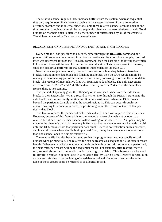The relative channel requires three memory buffers from the system, whereas sequential tiles only require two. Since there are twelve in the system and two of these are used in directory searches and in internal functions, only three relative channels can be open at one time. Another combination might be two sequential channels and two relative channels. Total number of channels open is dictated by the number of buffers used by all of the channels. The highest number of buffers that can be used is ten.

### RECORD POSITIONING & INPUT AND OUTPUT TO AND FROM RECORDS

Every time the DOS positions to a record, either through the RECORD command or a previous I/O statement to a record, it performs a read ahead function. For example, if record three was referenced through the RECORD command, then the data block following that which holds record three will be read for further sequential action. This is transparent to the user, since the disk drive performs all 1/O functions independent of the main CPU.

Now in the case just mentioned, if record three was on a boundary between two data blocks, starting in one data block and finishing in another, then the DOS would simply be reading in the remaining part of the record, as well as any following records in the second data block. The records of most relative files will span across data blocks. The only exceptions are record size, 1, 2, 127, and 254. These divide evenly into the 254 size of the data block. Hence, there is no spanning.

This method of spanning gives the efficiency of no overhead, aside from the side sector blocks in the relative files. When a record is written into through the PRINT# statement, the data block is not immediately written out. It is only written out when the DOS moves beyond the particular data block that the record resides in. This can occur through successive printing to sequential records, or positioning to another record outside of that par ticular data block.

This feature reduces the number of disk reads and writes and will improve time efficiency. However, because of this feature it is recommended that two channels not be open to a relative file at one time if either channel will be writing to the relative file. An update may be made in the channel's particular memory buffer area, but the change may not he made on disk until the DOS moves from that particular data block. There is no restriction on this however, and in certain cases where the file is simply read from, it may be advantageous to have more than one channel open to a single relative file.

The relative file has also been designed so that the programmer need not specify record number when printing to it. The relative file can be treated as a sequential file of certain record lengths. Whenever a write or read operation through an input or print statement is performed, the next reference record will be the sequential record. For example, after reading record ten, record eleven will be available for reading or writing. This feature can be used to simulate variable record size in a relative file by using a small record length such as ten and referring to the beginning of a variable record and N number of records thereafter. Each of these groups could be referred to as a logical record.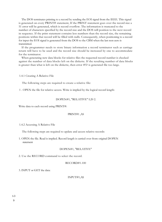The DOS terminates printing to a record by sending the EOI signal from the IEEE. This signal is generated on every PRINT# statement, If the PRINT statement goes over the record size a 51 error will be generated, which is record overflow. The information is truncated to the number of characters specified by the record size and the DOS will position to the next record in sequence. If the print statement contains less numbers than the record size, the remaining positions within that record will be filled with nulls. Consequently, when positioning to a record for input the EOI signal is generated from the DOS to the CBM when the last non-zero is transmitted.

If the programmer needs to store binary information a record terminator such as carriage return will have to be used and the record size should be increased by one to accommodate for the terminator.

When generating new data blocks for relative files the requested record number is checked against the number of data blocks left on the diskette. If the resulting number of data blocks is greater than what is left on the diskette, then error  $#5$ ? is generated file too large.

#### 1.4.1 Creating A Relative File

The following steps are required to create a relative file:

1 . OPEN the file for relative access. Write is implied by the logical record length:

#### DOPEN#1, "RELATIVE" L20 2.

Write data to each record using PRINT#:

#### PRINT#1 ,AS

1.4.2 Accessing A Relative File

The following steps are required to update and access relative records:

1. OPEN the file. Read is implied. Record length is carried over from original DOPEN statement

#### DOPEN#1, "RELATIVE"

2. Use the RECORD command to select the record.

### RECORD#1.100

3. INPUT or GET the data:

#### INPUT#1,A\$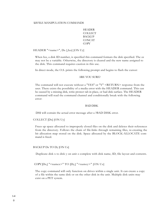#### **1.5** FILE MANIPULATION COMMANDS

HEADER **COLLECT BACKUP CONCAT** COPY

HEADER "<name>", Dx [,Izz] [ON Uy]

When Izz, a disk ID number, is specified this command formats the disk specified. The zz may not be a variable. Otherwise, the directory is cleared and the new name assigned to the disk. This command requires caution in this use.

In direct mode, the O.S. prints the following prompt and begins to flash the cursor:

#### ARE YOU SURE?

The command will not execute without a "YES" or "Y" <RETURN> response from the user. There exists the possibility of a media error with the HEADER command. This can be caused by a missing disk, write protect tab in place, or bad disk surface. The HEADER command will read the command channel and conditionally break with the following error:

#### BAD DISK

DS\$ will contain the actual error message after a ?BAD DISK error.

#### COLLECT [Dx] [ON Uy]

Frees up space allocated to improperly closed files on the disk and deletes their references from the directory. Follows the chain of file-links through remaining files, re-creating the bit allocation map stored on the disk. Space allocated by the BLOCK-ALLOCATE command is freed.

BACKUP Dx TO Dy [ON Uz]

Duplicate disk x to disk y on unit z complete with disk name, ID, file layout and contents.

COPY $[D_x]$  "<namex>" TO  $[D_y]$  "<namey>"  $[ON Uz]$ 

The copy command will only function on drives within a single unit. It can create a copy of a file within the same disk or on the other disk in the unit. Multiple disk units may exist on a PET system.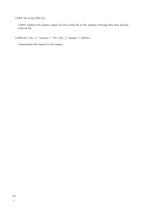COPY Dx to Dy [ON Uz]

COPY without file names copies all files from Dx to Dy without altering files that already exist on Dy.

CONCAT [ Dx, J "<namex>" TO [ DY, ] "<namey>" [ ON Uz J

Concatenate file namex to file namey.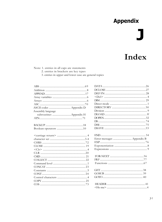## **Appendix**

# Index

Note: 1. entries in all caps are statements

- 2. entries in brackets are key types
- 3. entries in upper and lower case are general topics

| Assembly language      |  |
|------------------------|--|
| subroutines Appendix H |  |
|                        |  |
|                        |  |
|                        |  |
|                        |  |
|                        |  |
|                        |  |
|                        |  |
|                        |  |
|                        |  |
|                        |  |
|                        |  |
|                        |  |
|                        |  |
|                        |  |
|                        |  |
|                        |  |
|                        |  |
|                        |  |
|                        |  |
|                        |  |
|                        |  |

| Error messages  Appendix B |  |
|----------------------------|--|
|                            |  |
|                            |  |
|                            |  |
|                            |  |
|                            |  |
|                            |  |
|                            |  |
|                            |  |
|                            |  |
|                            |  |
|                            |  |
|                            |  |
|                            |  |
|                            |  |
|                            |  |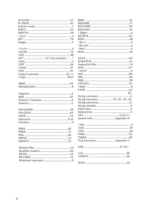| <b>REM</b>   |
|--------------|
| <b>REN</b>   |
| <b>RES</b>   |
| <b>RET</b>   |
| $<$ Ri       |
| <b>RIG</b>   |
| <b>RNI</b>   |
| $<$ R $\vee$ |
|              |
| $<$ Rv       |
| $<$ Ru       |
| <b>RUN</b>   |
|              |
| SAV          |
| <b>SCR</b>   |
| Sequ         |
| SGN          |
| $\lt$ sh     |
| <b>SIN</b>   |
| <b>SPC</b>   |
| SQR          |
| <b>STA</b>   |
| $<$ Sto      |
| <b>STO</b>   |
|              |
|              |
| Strii        |
| Strii        |
| Strii        |
| Strin        |
| Sub:         |
| Sub          |
| <b>SYS</b>   |
| Syst         |
|              |
| $<$ Tal      |
| <b>TAE</b>   |
| <b>TAN</b>   |
| <b>TIM</b>   |
|              |
| TIM          |
| Trig         |
| <b>USR</b>   |
|              |
| VAI          |
| <b>VEF</b>   |
|              |
| <b>WA</b>    |
|              |

|                                 | 92  |
|---------------------------------|-----|
|                                 | . 5 |
| String functions 79, 82, 85, 92 |     |
|                                 |     |
|                                 |     |
|                                 |     |
|                                 |     |
|                                 |     |
|                                 |     |
|                                 |     |
|                                 |     |
|                                 |     |
|                                 |     |
|                                 |     |
|                                 |     |
|                                 |     |
|                                 |     |
|                                 |     |
|                                 |     |
|                                 |     |
|                                 |     |
|                                 |     |